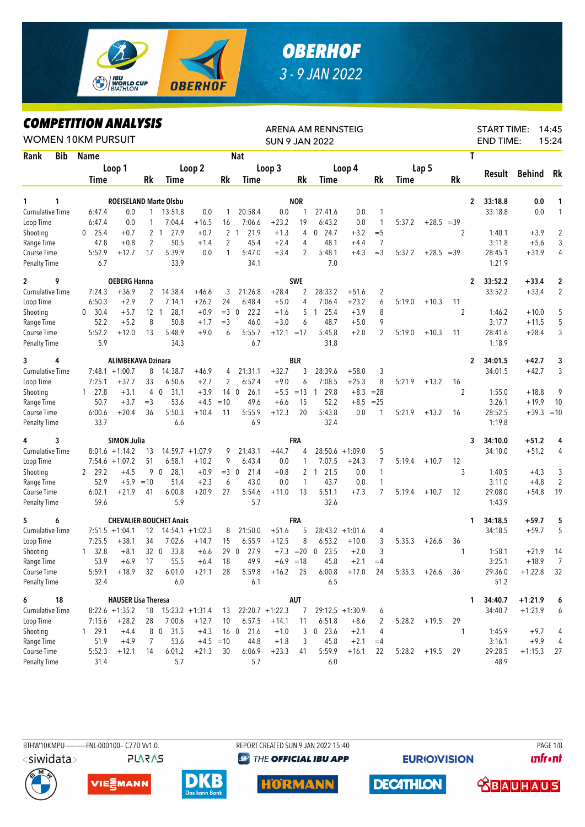

## *OBERHOF 3 - 9 JAN 2022*

## *COMPETITION ANALYSIS*

|                                     |            | LUMPEIIIIUN ANALIƏIƏ<br><b>WOMEN 10KM PURSUIT</b> |                            |                   |                                |                    |                 |                          | <b>SUN 9 JAN 2022</b> |             | ARENA AM RENNSTEIG     |                    |             |        |                |                |                | <b>START TIME:</b><br><b>END TIME:</b> |               | 14:45<br>15:24      |
|-------------------------------------|------------|---------------------------------------------------|----------------------------|-------------------|--------------------------------|--------------------|-----------------|--------------------------|-----------------------|-------------|------------------------|--------------------|-------------|--------|----------------|----------------|----------------|----------------------------------------|---------------|---------------------|
| Rank                                | <b>Bib</b> | Name                                              |                            |                   |                                |                    |                 | <b>Nat</b>               |                       |             |                        |                    |             |        |                |                | Τ              |                                        |               |                     |
|                                     |            |                                                   | Loop 1                     |                   |                                | Loop 2             |                 |                          | Loop 3                |             |                        | Loop 4             |             |        | Lap 5          |                |                |                                        |               |                     |
|                                     |            | Time                                              |                            | Rk                | Time                           |                    | Rk              | Time                     |                       | Rk          | Time                   |                    | Rk          | Time   |                | Rk             |                | Result                                 | <b>Behind</b> | Rk                  |
|                                     |            |                                                   |                            |                   |                                |                    |                 |                          |                       |             |                        |                    |             |        |                |                |                |                                        |               |                     |
| 1                                   | 1          |                                                   |                            |                   | <b>ROEISELAND Marte Olsbu</b>  |                    |                 |                          |                       | <b>NOR</b>  |                        |                    |             |        |                |                | $\overline{2}$ | 33:18.8                                | 0.0           | 1                   |
| <b>Cumulative Time</b><br>Loop Time |            | 6:47.4<br>6:47.4                                  | 0.0<br>0.0                 | $\mathbf{1}$<br>1 | 13:51.8<br>7:04.4              | 0.0<br>$+16.5$     | 1<br>16         | 20:58.4<br>7:06.6        | 0.0<br>$+23.2$        | 1<br>19     | 27:41.6<br>6:43.2      | 0.0<br>0.0         | 1<br>1      | 5:37.2 | $+28.5 = 39$   |                |                | 33:18.8                                | 0.0           | $\mathbf{1}$        |
|                                     |            |                                                   |                            |                   | 2 <sub>1</sub><br>27.9         |                    |                 | 2 <sub>1</sub><br>21.9   |                       |             | 24.7                   |                    | $=$ 5       |        |                | $\overline{2}$ |                |                                        | $+3.9$        |                     |
| Shooting                            |            | 25.4<br>0<br>47.8                                 | $+0.7$<br>$+0.8$           | 2                 | 50.5                           | $+0.7$<br>$+1.4$   | 2               | 45.4                     | $+1.3$<br>$+2.4$      | 4<br>4      | 0<br>48.1              | $+3.2$<br>$+4.4$   | 7           |        |                |                |                | 1:40.1<br>3:11.8                       | $+5.6$        | $\overline{c}$<br>3 |
| Range Time<br>Course Time           |            | 5:52.9                                            | $+12.7$                    | 17                | 5:39.9                         | 0.0                | 1               | 5:47.0                   | $+3.4$                | 2           | 5:48.1                 | $+4.3$             | $=$ 3       | 5:37.2 | $+28.5 = 39$   |                |                | 28:45.1                                | $+31.9$       | 4                   |
| <b>Penalty Time</b>                 |            | 6.7                                               |                            |                   | 33.9                           |                    |                 | 34.1                     |                       |             | 7.0                    |                    |             |        |                |                |                | 1:21.9                                 |               |                     |
| $\overline{2}$                      | 9          |                                                   | <b>OEBERG Hanna</b>        |                   |                                |                    |                 |                          |                       | <b>SWE</b>  |                        |                    |             |        |                |                | 2              | 33:52.2                                | $+33.4$       | 2                   |
| <b>Cumulative Time</b>              |            | 7:24.3                                            | $+36.9$                    | 2                 | 14:38.4                        | $+46.6$            | 3               | 21:26.8                  | $+28.4$               | 2           | 28:33.2                | $+51.6$            | 2           |        |                |                |                | 33:52.2                                | $+33.4$       | $\overline{2}$      |
| Loop Time                           |            | 6:50.3                                            | $+2.9$                     | 2                 | 7:14.1                         | $+26.2$            | 24              | 6:48.4                   | $+5.0$                | 4           | 7:06.4                 | $+23.2$            | 6           | 5:19.0 | $+10.3$        | 11             |                |                                        |               |                     |
| Shooting                            |            | 30.4<br>$\mathbf{0}$                              | $+5.7$                     | 12 <sub>1</sub>   | 28.1                           | $+0.9$             | $=3$ 0          | 22.2                     | $+1.6$                | 5           | 25.4<br>$\overline{1}$ | $+3.9$             | 8           |        |                | 2              |                | 1:46.2                                 | $+10.0$       | 5                   |
| Range Time                          |            | 52.2                                              | $+5.2$                     | 8                 | 50.8                           | $+1.7$             | $=$ 3           | 46.0                     | $+3.0$                | 6           | 48.7                   | $+5.0$             | 9           |        |                |                |                | 3:17.7                                 | $+11.5$       | 5                   |
| Course Time                         |            | 5:52.2                                            | $+12.0$                    | 13                | 5:48.9                         | $+9.0$             | 6               | 5:55.7                   | $+12.1 = 17$          |             | 5:45.8                 | $+2.0$             | 2           | 5:19.0 | $+10.3$        | 11             |                | 28:41.6                                | $+28.4$       | 3                   |
| <b>Penalty Time</b>                 |            | 5.9                                               |                            |                   | 34.3                           |                    |                 | 6.7                      |                       |             | 31.8                   |                    |             |        |                |                |                | 1:18.9                                 |               |                     |
| 3                                   | 4          |                                                   | <b>ALIMBEKAVA Dzinara</b>  |                   |                                |                    |                 |                          |                       | <b>BLR</b>  |                        |                    |             |        |                |                | $\mathbf{2}$   | 34:01.5                                | $+42.7$       | 3                   |
| <b>Cumulative Time</b>              |            |                                                   | $7:48.1 + 1:00.7$          | 8                 | 14:38.7                        | $+46.9$            | 4               | 21:31.1                  | $+32.7$               | 3           | 28:39.6                | $+58.0$            | 3           |        |                |                |                | 34:01.5                                | $+42.7$       | 3                   |
| Loop Time                           |            | 7:25.1                                            | $+37.7$                    | 33                | 6:50.6                         | $+2.7$             | 2               | 6:52.4                   | $+9.0$                | 6           | 7:08.5                 | $+25.3$            | 8           | 5:21.9 | $+13.2$        | 16             |                |                                        |               |                     |
| Shooting                            |            | $1 \quad 27.8$                                    | $+3.1$                     | $\overline{4}$    | 31.1<br>$\mathbf 0$            | $+3.9$             | 14 <sub>0</sub> | 26.1                     | $+5.5$                | $=13$       | 29.8<br>$\overline{1}$ |                    | $+8.3 = 28$ |        |                | $\overline{2}$ |                | 1:55.0                                 | $+18.8$       | 9                   |
| Range Time                          |            | 50.7                                              | $+3.7$                     | $=$ 3             | 53.6                           | $+4.5$             | $=10$           | 49.6                     | $+6.6$                | 15          | 52.2                   | $+8.5$             | $= 25$      |        |                |                |                | 3:26.1                                 | $+19.9$       | 10                  |
| Course Time                         |            | 6:00.6                                            | $+20.4$                    | 36                | 5:50.3                         | $+10.4$            | 11              | 5:55.9                   | $+12.3$               | 20          | 5:43.8                 | 0.0                | 1           | 5:21.9 | $+13.2$        | 16             |                | 28:52.5                                | $+39.3 = 10$  |                     |
| <b>Penalty Time</b>                 |            | 33.7                                              |                            |                   | 6.6                            |                    |                 | 6.9                      |                       |             | 32.4                   |                    |             |        |                |                |                | 1:19.8                                 |               |                     |
| 4                                   | 3          |                                                   | <b>SIMON Julia</b>         |                   |                                |                    |                 |                          |                       | FRA         |                        |                    |             |        |                |                | 3              | 34:10.0                                | $+51.2$       | 4                   |
| <b>Cumulative Time</b>              |            |                                                   | $8:01.6 +1:14.2$           | 13                |                                | $14:59.7 + 1:07.9$ | 9               | 21:43.1                  | $+44.7$               | 4           |                        | $28:50.6 + 1:09.0$ | 5           |        |                |                |                | 34:10.0                                | $+51.2$       | 4                   |
| Loop Time                           |            |                                                   | $7:54.6 + 1:07.2$          | 51                | 6:58.1                         | $+10.2$            | 9               | 6:43.4                   | 0.0                   | 1           | 7:07.5                 | $+24.3$            | 7           | 5:19.4 | $+10.7$        | 12             |                |                                        |               |                     |
| Shooting                            |            | 2 29.2                                            | $+4.5$                     |                   | 28.1<br>90                     | $+0.9$             | $=3$ 0          | 21.4                     | $+0.8$                |             | 2 <sub>1</sub><br>21.5 | 0.0                | 1           |        |                | 3              |                | 1:40.5                                 | $+4.3$        | 3                   |
| Range Time                          |            | 52.9                                              | $+5.9$                     | $=10$             | 51.4                           | $+2.3$             | 6               | 43.0                     | 0.0                   | 1           | 43.7                   | 0.0                | 1           |        |                |                |                | 3:11.0                                 | $+4.8$        | $\overline{2}$      |
| Course Time                         |            | 6:02.1                                            | $+21.9$                    | 41                | 6:00.8                         | $+20.9$            | 27              | 5:54.6                   | $+11.0$               | 13          | 5:51.1                 | $+7.3$             | 7           | 5:19.4 | $+10.7$        | 12             |                | 29:08.0                                | $+54.8$       | 19                  |
| <b>Penalty Time</b>                 |            | 59.6                                              |                            |                   | 5.9                            |                    |                 | 5.7                      |                       |             | 32.6                   |                    |             |        |                |                |                | 1:43.9                                 |               |                     |
| 5                                   | 6          |                                                   |                            |                   | <b>CHEVALIER-BOUCHET Anais</b> |                    |                 |                          |                       | FRA         |                        |                    |             |        |                |                | 1              | 34:18.5                                | +59.7         | 5                   |
| <b>Cumulative Time</b>              |            |                                                   | $7:51.5 +1:04.1$           | 12                |                                | $14:54.1 + 1:02.3$ | 8               | 21:50.0                  | $+51.6$               | 5           |                        | $28:43.2 +1:01.6$  | 4           |        |                |                |                | 34:18.5                                | $+59.7$       | 5                   |
| Loop Time                           |            | 7:25.5                                            | $+38.1$                    | 34                | 7:02.6                         | $+14.7$            | 15              | 6:55.9                   | $+12.5$               | 8           | 6:53.2                 | $+10.0$            | 3           | 5:35.3 | $+26.6$        | 36             |                |                                        |               |                     |
| Shooting                            |            | 32.8<br>$\mathbf{1}$                              | $+8.1$                     | 32 0              | 33.8                           | $+6.6$             | 29 0            | 27.9                     |                       | $+7.3 = 20$ | $0$ 23.5               | $+2.0$             | 3           |        |                | 1              |                | 1:58.1                                 | $+21.9$       | 14                  |
| Range Time                          |            | 53.9                                              | $+6.9$                     | 17                | 55.5                           | $+6.4$             | 18              | 49.9                     |                       | $+6.9 = 18$ | 45.8                   | $+2.1$             | $=4$        |        |                |                |                | 3:25.1                                 | $+18.9$       | $\overline{7}$      |
| Course Time                         |            | 5:59.1                                            | $+18.9$                    | 32                | 6:01.0                         | $+21.1$ 28         |                 | 5:59.8                   | $+16.2$ 25            |             |                        | $6:00.8$ +17.0 24  |             |        | $5:35.3$ +26.6 | 36             |                | 29:36.0                                | $+1:22.8$     | 32                  |
| Penalty Time                        |            | 32.4                                              |                            |                   | 6.0                            |                    |                 | 6.1                      |                       |             | 6.5                    |                    |             |        |                |                |                | 51.2                                   |               |                     |
| 6                                   | 18         |                                                   | <b>HAUSER Lisa Theresa</b> |                   |                                |                    |                 |                          |                       | AUT         |                        |                    |             |        |                |                | 1              | 34:40.7                                | $+1:21.9$     | 6                   |
| <b>Cumulative Time</b>              |            |                                                   | $8:22.6 +1:35.2$           |                   | $18$ $15:23.2$ $+1:31.4$       |                    |                 | $13$ $22:20.7$ $+1:22.3$ |                       | 7           |                        | $29:12.5 +1:30.9$  | 6           |        |                |                |                | 34:40.7                                | $+1:21.9$     | 6                   |
| Loop Time                           |            | 7:15.6                                            | $+28.2$                    | 28                | 7:00.6                         | $+12.7$            | 10              | 6:57.5                   | $+14.1$               | 11          | 6:51.8                 | $+8.6$             | 2           |        | $5:28.2$ +19.5 | 29             |                |                                        |               |                     |
| Shooting                            |            | 1 29.1                                            | $+4.4$                     |                   | 8 0 31.5                       | $+4.3$             |                 | 16 0 21.6                | $+1.0$                | 3           | $0$ 23.6               | $+2.1$             | 4           |        |                | 1              |                | 1:45.9                                 | $+9.7$        | 4                   |
| Range Time                          |            | 51.9                                              | $+4.9$                     | 7                 | 53.6                           |                    | $+4.5$ = 10     | 44.8                     | $+1.8$                | 3           | 45.8                   | $+2.1$             | $=4$        |        |                |                |                | 3:16.1                                 | $+9.9$        | 4                   |
| Course Time                         |            | 5:52.3                                            | $+12.1$                    | 14                | 6:01.2                         | $+21.3$            | 30              | 6:06.9                   | $+23.3$               | 41          | 5:59.9                 | $+16.1$            | 22          |        | $5:28.2$ +19.5 | 29             |                | 29:28.5                                | $+1:15.3$     | 27                  |
| <b>Penalty Time</b>                 |            | 31.4                                              |                            |                   | 5.7                            |                    |                 | 5.7                      |                       |             | 6.0                    |                    |             |        |                |                |                | 48.9                                   |               |                     |

<siwidata>

**PLARAS** 

BTHW10KMPU-----------FNL-000100-- C77D Vv1.0. REPORT CREATED SUN 9 JAN 2022 15:40 PAGE 1/8 **@ THE OFFICIAL IBU APP** 

**EURIO)VISION** 











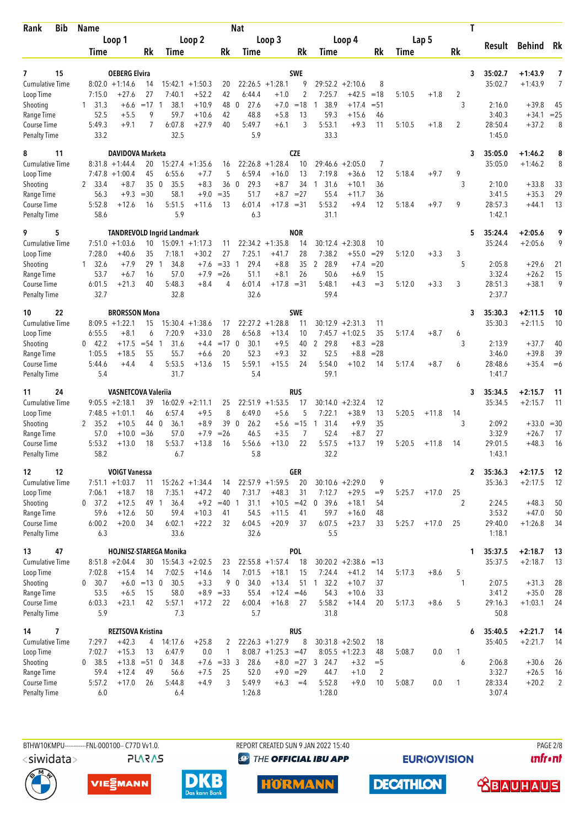| Bib<br>Rank                         | <b>Name</b>              |                                       |                     |                                   |                               |                   | <b>Nat</b>                 |                                            |                |                        |                                        |              |        |         | T            |                   |                    |                |
|-------------------------------------|--------------------------|---------------------------------------|---------------------|-----------------------------------|-------------------------------|-------------------|----------------------------|--------------------------------------------|----------------|------------------------|----------------------------------------|--------------|--------|---------|--------------|-------------------|--------------------|----------------|
|                                     |                          | Loop 1                                |                     |                                   | Loop 2                        |                   |                            | Loop 3                                     |                |                        | Loop 4                                 |              |        | Lap 5   |              | Result            | <b>Behind</b>      | Rk             |
|                                     | Time                     |                                       | Rk                  | Time                              |                               | Rk                | Time                       |                                            | Rk             | Time                   |                                        | Rk           | Time   |         | Rk           |                   |                    |                |
| 15<br>7                             |                          | <b>OEBERG Elvira</b>                  |                     |                                   |                               |                   |                            |                                            | <b>SWE</b>     |                        |                                        |              |        |         | 3            | 35:02.7           | $+1:43.9$          | 7              |
| <b>Cumulative Time</b>              |                          | $8:02.0 +1:14.6$                      | 14                  |                                   | $15:42.1 + 1:50.3$            | 20                |                            | $22:26.5 +1:28.1$                          | 9              |                        | $29:52.2 + 2:10.6$                     | 8            |        |         |              | 35:02.7           | $+1:43.9$          | 7              |
| Loop Time                           | 7:15.0                   | $+27.6$                               | 27                  | 7:40.1                            | $+52.2$                       | 42                | 6:44.4                     | $+1.0$                                     | $\overline{2}$ | 7:25.7                 | $+42.5$                                | $=18$        | 5:10.5 | $+1.8$  | 2            |                   |                    |                |
| Shooting                            | 31.3<br>1                | $+6.6$                                | $=17$               | 38.1<br>-1                        | $+10.9$                       | 48                | 27.6<br>$\mathbf{0}$       | $+7.0$                                     | $=18$          | 38.9<br>1              | $+17.4$                                | $= 51$       |        |         | 3            | 2:16.0            | $+39.8$            | 45             |
| Range Time<br>Course Time           | 52.5<br>5:49.3           | $+5.5$<br>$+9.1$                      | 9<br>7              | 59.7<br>6:07.8                    | $+10.6$<br>$+27.9$            | 42<br>40          | 48.8<br>5:49.7             | $+5.8$<br>$+6.1$                           | 13<br>3        | 59.3<br>5:53.1         | $+15.6$<br>$+9.3$                      | 46<br>11     | 5:10.5 | $+1.8$  | 2            | 3:40.3<br>28:50.4 | $+34.1$<br>$+37.2$ | $= 25$<br>8    |
| <b>Penalty Time</b>                 | 33.2                     |                                       |                     | 32.5                              |                               |                   | 5.9                        |                                            |                | 33.3                   |                                        |              |        |         |              | 1:45.0            |                    |                |
| 11<br>8                             |                          | <b>DAVIDOVA Marketa</b>               |                     |                                   |                               |                   |                            |                                            | <b>CZE</b>     |                        |                                        |              |        |         | 3            | 35:05.0           | $+1:46.2$          | 8              |
| <b>Cumulative Time</b>              | 8:31.8                   | $+1:44.4$                             | 20                  |                                   | $15:27.4 +1:35.6$             | 16                | 22:26.8                    | $+1:28.4$                                  | 10             | 29:46.6                | $+2:05.0$                              | 7            |        |         |              | 35:05.0           | $+1:46.2$          | 8              |
| Loop Time                           |                          | $7:47.8 + 1:00.4$<br>$+8.7$           | 45<br>35            | 6:55.6<br>35.5<br>$\overline{0}$  | $+7.7$<br>$+8.3$              | 5<br>36           | 6:59.4<br>$\Omega$<br>29.3 | $+16.0$<br>$+8.7$                          | 13<br>34       | 7:19.8<br>31.6<br>-1   | $+36.6$<br>$+10.1$                     | 12<br>36     | 5:18.4 | $+9.7$  | 9<br>3       | 2:10.0            |                    |                |
| Shooting<br>Range Time              | 2 33.4<br>56.3           | $+9.3$                                | $=30$               | 58.1                              | $+9.0$                        | $=35$             | 51.7                       | $+8.7 = 27$                                |                | 55.4                   | $+11.7$                                | 36           |        |         |              | 3:41.5            | $+33.8$<br>$+35.3$ | 33<br>29       |
| Course Time                         | 5:52.8                   | $+12.6$                               | 16                  | 5:51.5                            | $+11.6$                       | 13                | 6:01.4                     | $+17.8 = 31$                               |                | 5:53.2                 | $+9.4$                                 | 12           | 5:18.4 | $+9.7$  | 9            | 28:57.3           | $+44.1$            | 13             |
| <b>Penalty Time</b>                 | 58.6                     |                                       |                     | 5.9                               |                               |                   | 6.3                        |                                            |                | 31.1                   |                                        |              |        |         |              | 1:42.1            |                    |                |
| 5<br>9                              |                          |                                       |                     | <b>TANDREVOLD Ingrid Landmark</b> |                               |                   |                            |                                            | <b>NOR</b>     |                        |                                        |              |        |         | 5            | 35:24.4           | $+2:05.6$          | 9              |
| <b>Cumulative Time</b><br>Loop Time | 7:28.0                   | $7:51.0 + 1:03.6$<br>$+40.6$          | 10<br>35            | 7:18.1                            | $15:09.1 + 1:17.3$<br>$+30.2$ | 11<br>27          | 7:25.1                     | $22:34.2 +1:35.8$<br>$+41.7$               | 14<br>28       | 30:12.4<br>7:38.2      | $+2:30.8$<br>$+55.0$                   | 10<br>$=29$  | 5:12.0 | $+3.3$  | 3            | 35:24.4           | $+2:05.6$          | 9              |
| Shooting                            | 32.6<br>1                | $+7.9$                                | 29                  | 34.8<br>$\mathbf{1}$              | $+7.6$                        | $=33$ 1           | 29.4                       | $+8.8$                                     | 35             | 28.9<br>$\overline{2}$ | $+7.4$                                 | $=20$        |        |         | 5            | 2:05.8            | $+29.6$            | 21             |
| Range Time                          | 53.7                     | +6.7                                  | 16                  | 57.0                              | $+7.9$                        | $=26$             | 51.1                       | $+8.1$                                     | 26             | 50.6                   | $+6.9$                                 | 15           |        |         |              | 3:32.4            | $+26.2$            | 15             |
| Course Time                         | 6:01.5                   | $+21.3$                               | 40                  | 5:48.3                            | $+8.4$                        | 4                 | 6:01.4                     | $+17.8 = 31$                               |                | 5:48.1                 | +4.3                                   | $=$ 3        | 5:12.0 | $+3.3$  | 3            | 28:51.3           | $+38.1$            | 9              |
| <b>Penalty Time</b>                 | 32.7                     |                                       |                     | 32.8                              |                               |                   | 32.6                       |                                            |                | 59.4                   |                                        |              |        |         |              | 2:37.7            |                    |                |
| 22<br>10                            |                          | <b>BRORSSON Mona</b>                  |                     |                                   |                               |                   |                            |                                            | <b>SWE</b>     |                        |                                        |              |        |         | 3            | 35:30.3           | $+2:11.5$          | 10             |
| <b>Cumulative Time</b>              |                          | $8:09.5 +1:22.1$                      | 15                  |                                   | $15:30.4 +1:38.6$             | 17                |                            | $22:27.2 +1:28.8$                          | 11             | 30:12.9                | $+2:31.3$                              | 11           |        |         |              | 35:30.3           | $+2:11.5$          | 10             |
| Loop Time<br>Shooting               | 6:55.5<br>$0 \quad 42.2$ | $+8.1$<br>+17.5                       | 6<br>$= 54 \quad 1$ | 7:20.9<br>31.6                    | $+33.0$<br>$+4.4$             | 28<br>$=17$ 0     | 6:56.8<br>30.1             | $+13.4$<br>$+9.5$                          | 10<br>40       | 2 29.8                 | $7:45.7 +1:02.5$<br>$+8.3$             | 35<br>$= 28$ | 5:17.4 | $+8.7$  | 6<br>3       | 2:13.9            | $+37.7$            | 40             |
| Range Time                          | 1:05.5                   | $+18.5$                               | 55                  | 55.7                              | $+6.6$                        | 20                | 52.3                       | $+9.3$                                     | 32             | 52.5                   | $+8.8$                                 | $= 28$       |        |         |              | 3:46.0            | $+39.8$            | 39             |
| Course Time                         | 5:44.6                   | $+4.4$                                | 4                   | 5:53.5                            | $+13.6$                       | 15                | 5:59.1                     | $+15.5$                                    | 24             | 5:54.0                 | $+10.2$                                | 14           | 5:17.4 | $+8.7$  | 6            | 28:48.6           | $+35.4$            | $=6$           |
| <b>Penalty Time</b>                 | 5.4                      |                                       |                     | 31.7                              |                               |                   | 5.4                        |                                            |                | 59.1                   |                                        |              |        |         |              | 1:41.7            |                    |                |
| 24<br>11                            |                          | <b>VASNETCOVA Valerija</b>            |                     |                                   |                               |                   |                            |                                            | RUS            |                        |                                        |              |        |         | 3            | 35:34.5           | +2:15.7            | 11             |
| Cumulative Time<br>Loop Time        |                          | $9:05.5 + 2:18.1$<br>$7:48.5 +1:01.1$ | 39<br>46            | 6:57.4                            | $16:02.9 + 2:11.1$<br>$+9.5$  | 25<br>8           | 6:49.0                     | $22:51.9 +1:53.5$<br>$+5.6$                | 17<br>5        | 7:22.1                 | $30:14.0 + 2:32.4$<br>$+38.9$          | 12<br>13     | 5:20.5 | $+11.8$ | 14           | 35:34.5           | $+2:15.7$          | 11             |
| Shooting                            | 35.2<br>2                | $+10.5$                               | 44 0                | 36.1                              | $+8.9$                        | 39                | $\overline{0}$<br>26.2     | $+5.6$                                     | $=15$          | 31.4<br>1              | $+9.9$                                 | 35           |        |         | 3            | 2:09.2            | $+33.0$            | $= 30$         |
| Range Time                          | 57.0                     | $+10.0$                               | $=$ 36              | 57.0                              | $+7.9$                        | $=26$             | 46.5                       | $+3.5$                                     | 7              | 52.4                   | $+8.7$                                 | 27           |        |         |              | 3:32.9            | $+26.7$            | 17             |
| <b>Course Time</b>                  | 5:53.2                   | $+13.0$                               | 18                  | 5:53.7                            | $+13.8$                       | 16                | 5:56.6                     | $+13.0$                                    | 22             | 5:57.5                 | $+13.7$                                | 19           | 5:20.5 | $+11.8$ | 14           | 29:01.5           | $+48.3$            | 16             |
| <b>Penalty Time</b>                 | 58.2                     |                                       |                     | 6.7                               |                               |                   | 5.8                        |                                            |                | 32.2                   |                                        |              |        |         |              | 1:43.1            |                    |                |
| 12<br>12                            |                          | <b>VOIGT Vanessa</b>                  |                     |                                   |                               |                   |                            |                                            | GER            |                        |                                        |              |        |         | $\mathbf{2}$ | 35:36.3           | $+2:17.5$          | 12             |
| <b>Cumulative Time</b><br>Loop Time | 7:06.1                   | $7:51.1 + 1:03.7$<br>$+18.7$          | 11<br>18            | 7:35.1                            | $15:26.2 + 1:34.4$<br>$+47.2$ | 14<br>40          | 7:31.7                     | $22:57.9 +1:59.5$<br>$+48.3$               | 20<br>31       | 7:12.7                 | $30:10.6 + 2:29.0$<br>$+29.5$          | 9<br>$=9$    | 5:25.7 | $+17.0$ | 25           | 35:36.3           | $+2:17.5$          | -12            |
| Shooting                            | 0 37.2                   | $+12.5$                               | 49 1                | 36.4                              |                               | $+9.2 = 40$ 1     | 31.1                       | $+10.5$                                    | $=42$          | 0, 39.6                | $+18.1$                                | 54           |        |         | 2            | 2:24.5            | $+48.3$            | 50             |
| Range Time                          | 59.6                     | $+12.6$                               | 50                  | 59.4                              | $+10.3$                       | 41                | 54.5                       | $+11.5$                                    | 41             | 59.7                   | $+16.0$                                | 48           |        |         |              | 3:53.2            | $+47.0$            | 50             |
| Course Time                         | 6:00.2                   | $+20.0$                               | 34                  | 6:02.1                            | $+22.2$                       | 32                | 6:04.5                     | $+20.9$                                    | 37             | 6:07.5                 | $+23.7$                                | 33           | 5:25.7 | $+17.0$ | 25           | 29:40.0           | $+1:26.8$          | 34             |
| <b>Penalty Time</b>                 | 6.3                      |                                       |                     | 33.6                              |                               |                   | 32.6                       |                                            |                | 5.5                    |                                        |              |        |         |              | 1:18.1            |                    |                |
| 47<br>13                            |                          |                                       |                     | HOJNISZ-STAREGA Monika            |                               |                   |                            |                                            | <b>POL</b>     |                        |                                        |              |        |         | 1            | 35:37.5           | $+2:18.7$          | 13             |
| <b>Cumulative Time</b><br>Loop Time | 7:02.8                   | $8:51.8 + 2:04.4$<br>$+15.4$          | 30<br>14            | 7:02.5                            | $15:54.3 + 2:02.5$<br>$+14.6$ | 23<br>14          | 7:01.5                     | $22:55.8 + 1:57.4$<br>$+18.1$              | 18<br>15       | 7:24.4                 | $30:20.2 +2:38.6$<br>$+41.2$           | $=13$<br>14  | 5:17.3 | $+8.6$  | 5            | 35:37.5           | $+2:18.7$          | 13             |
| Shooting                            | 0, 30.7                  | $+6.0$                                | $=13$ 0             | 30.5                              | $+3.3$                        |                   | 9 0<br>34.0                | $+13.4$                                    | 51             | 32.2<br>$\overline{1}$ | $+10.7$                                | 37           |        |         | 1            | 2:07.5            | $+31.3$            | 28             |
| Range Time                          | 53.5                     | $+6.5$                                | 15                  | 58.0                              |                               | $+8.9 = 33$       | 55.4                       | $+12.4 = 46$                               |                | 54.3                   | $+10.6$                                | 33           |        |         |              | 3:41.2            | $+35.0$            | 28             |
| Course Time                         | 6:03.3                   | $+23.1$                               | 42                  | 5:57.1                            | $+17.2$                       | 22                | 6:00.4                     | $+16.8$                                    | 27             | 5:58.2                 | $+14.4$                                | 20           | 5:17.3 | $+8.6$  | 5            | 29:16.3           | $+1:03.1$          | 24             |
| <b>Penalty Time</b>                 | 5.9                      |                                       |                     | 7.3                               |                               |                   | 5.7                        |                                            |                | 31.8                   |                                        |              |        |         |              | 50.8              |                    |                |
| 7<br>14                             |                          | <b>REZTSOVA Kristina</b>              |                     |                                   |                               |                   |                            |                                            | <b>RUS</b>     |                        |                                        |              |        |         | 6            | 35:40.5           | $+2:21.7$          | 14             |
| <b>Cumulative Time</b><br>Loop Time | 7:29.7<br>7:02.7         | $+42.3$<br>$+15.3$                    | 4<br>13             | 14:17.6<br>6:47.9                 | $+25.8$<br>0.0                | 2<br>$\mathbf{1}$ |                            | $22:26.3 +1:27.9$<br>$8:08.7 +1:25.3 = 47$ | 8              |                        | $30:31.8 + 2:50.2$<br>$8:05.5 +1:22.3$ | 18<br>48     | 5:08.7 | 0.0     | 1            | 35:40.5           | $+2:21.7$          | 14             |
| Shooting                            | 0 38.5                   | $+13.8$                               | $= 510$             | 34.8                              | $+7.6$                        | $=333$            | 28.6                       |                                            |                | $+8.0 = 27$ 3 24.7     | $+3.2$                                 | $=$ 5        |        |         | 6            | 2:06.8            | $+30.6$            | 26             |
| Range Time                          | 59.4                     | $+12.4$                               | 49                  | 56.6                              | $+7.5$                        | 25                | 52.0                       | $+9.0 = 29$                                |                | 44.7                   | $+1.0$                                 | 2            |        |         |              | 3:32.7            | $+26.5$            | 16             |
| Course Time                         | 5:57.2                   | $+17.0$                               | 26                  | 5:44.8                            | $+4.9$                        | 3                 | 5:49.9                     | $+6.3$                                     | $=4$           | 5:52.8                 | $+9.0$                                 | 10           | 5:08.7 | 0.0     | 1            | 28:33.4           | $+20.2$            | $\overline{2}$ |
| <b>Penalty Time</b>                 | 6.0                      |                                       |                     | 6.4                               |                               |                   | 1:26.8                     |                                            |                | 1:28.0                 |                                        |              |        |         |              | 3:07.4            |                    |                |

BTHW10KMPU-----------FNL-000100-- C77D Vv1.0. <siwidata> **PLARAS**  REPORT CREATED SUN 9 JAN 2022 15:40 **<sup><sup>3</sup>** THE OFFICIAL IBU APP</sup>

**EURIOVISION** 

**PAGE 2/8 unfront** 







**HORMANN** 

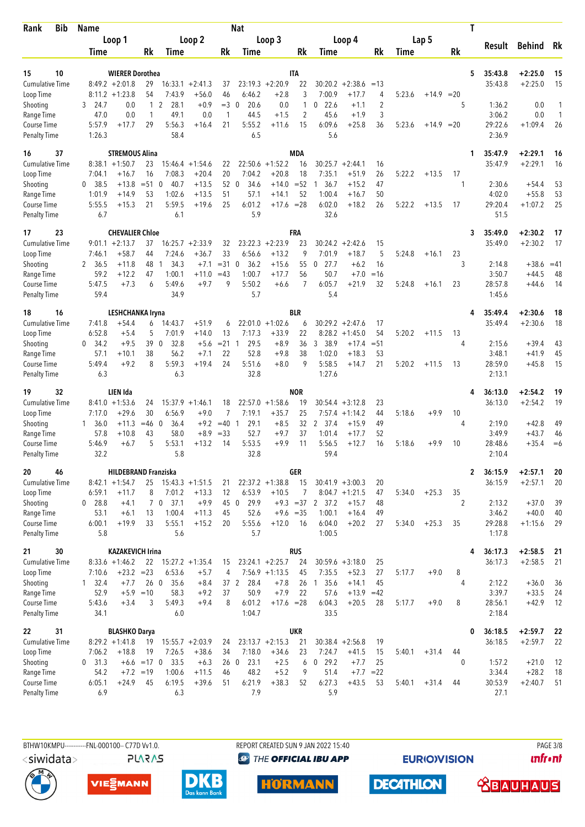| <b>Bib</b><br>Rank                        | <b>Name</b>         |                                     |               |                                |                               |                  | <b>Nat</b>                    |                                        |              |                        |                               |                |        |              |          | T                       |                        |          |
|-------------------------------------------|---------------------|-------------------------------------|---------------|--------------------------------|-------------------------------|------------------|-------------------------------|----------------------------------------|--------------|------------------------|-------------------------------|----------------|--------|--------------|----------|-------------------------|------------------------|----------|
|                                           |                     | Loop 1                              |               |                                | Loop 2                        |                  |                               | Loop 3                                 |              |                        | Loop 4                        |                |        | Lap 5        |          | Result                  | <b>Behind</b>          | Rk       |
|                                           | Time                |                                     | Rk            | <b>Time</b>                    |                               | Rk               | Time                          |                                        | Rk           | Time                   |                               | Rk             | Time   |              | Rk       |                         |                        |          |
| 10<br>15                                  |                     | <b>WIERER Dorothea</b>              |               |                                |                               |                  |                               |                                        | <b>ITA</b>   |                        |                               |                |        |              |          | 5<br>35:43.8            | $+2:25.0$              | 15       |
| <b>Cumulative Time</b>                    |                     | $8:49.2 + 2:01.8$                   | 29            |                                | $16:33.1 + 2:41.3$            | 37               |                               | $23:19.3 + 2:20.9$                     | 22           | 30:20.2                | $+2:38.6$                     | $=13$          |        |              |          | 35:43.8                 | $+2:25.0$              | 15       |
| Loop Time                                 |                     | $8:11.2 + 1:23.8$                   | 54            | 7:43.9                         | $+56.0$                       | 46               | 6:46.2                        | $+2.8$                                 | 3            | 7:00.9                 | $+17.7$                       | 4              | 5:23.6 | $+14.9$      | $=20$    |                         |                        |          |
| Shooting                                  | 3<br>24.7           | 0.0                                 | $\mathbf{1}$  | $\overline{2}$<br>28.1         | $+0.9$                        | $=$ 3            | 20.6<br>$\mathbf{0}$          | 0.0                                    | 1            | 22.6<br>0              | $+1.1$                        | $\overline{2}$ |        |              | 5        | 1:36.2                  | 0.0                    | 1        |
| Range Time                                | 47.0                | 0.0                                 | 1             | 49.1                           | 0.0                           | $\mathbf{1}$     | 44.5                          | $+1.5$                                 | 2            | 45.6                   | $+1.9$                        | 3              |        |              |          | 3:06.2                  | 0.0                    | 1        |
| <b>Course Time</b><br><b>Penalty Time</b> | 5:57.9<br>1:26.3    | $+17.7$                             | 29            | 5:56.3<br>58.4                 | $+16.4$                       | 21               | 5:55.2<br>6.5                 | $+11.6$                                | 15           | 6:09.6<br>5.6          | $+25.8$                       | 36             | 5:23.6 | $+14.9 = 20$ |          | 29:22.6<br>2:36.9       | $+1:09.4$              | 26       |
| 37<br>16                                  |                     | <b>STREMOUS Alina</b>               |               |                                |                               |                  |                               |                                        | <b>MDA</b>   |                        |                               |                |        |              |          | 35:47.9<br>1            | $+2:29.1$              | 16       |
| <b>Cumulative Time</b>                    | 8:38.1              | $+1:50.7$                           | 23            | 15:46.4                        | $+1:54.6$                     | 22               | 22:50.6                       | $+1:52.2$                              | 16           | 30:25.7                | $+2:44.1$                     | 16             |        |              |          | 35:47.9                 | $+2:29.1$              | 16       |
| Loop Time                                 | 7:04.1<br>38.5<br>0 | $+16.7$<br>$+13.8$                  | 16<br>$= 51$  | 7:08.3<br>$\mathbf{0}$<br>40.7 | $+20.4$<br>$+13.5$            | 20<br>52         | 7:04.2<br>34.6<br>$\mathbf 0$ | $+20.8$<br>$+14.0$                     | 18<br>$= 52$ | 7:35.1<br>36.7         | $+51.9$<br>$+15.2$            | 26<br>47       | 5:22.2 | $+13.5$      | 17<br>1  | 2:30.6                  | $+54.4$                |          |
| Shooting<br>Range Time                    | 1:01.9              | $+14.9$                             | 53            | 1:02.6                         | $+13.5$                       | 51               | 57.1                          | $+14.1$                                | 52           | 1:00.4                 | $+16.7$                       | 50             |        |              |          | 4:02.0                  | $+55.8$                | 53<br>53 |
| Course Time                               | 5:55.5              | $+15.3$                             | 21            | 5:59.5                         | $+19.6$                       | 25               | 6:01.2                        | $+17.6 = 28$                           |              | 6:02.0                 | $+18.2$                       | 26             | 5:22.2 | $+13.5$      | 17       | 29:20.4                 | $+1:07.2$              | 25       |
| <b>Penalty Time</b>                       | 6.7                 |                                     |               | 6.1                            |                               |                  | 5.9                           |                                        |              | 32.6                   |                               |                |        |              |          | 51.5                    |                        |          |
| 23<br>17<br><b>Cumulative Time</b>        | 9:01.1              | <b>CHEVALIER Chloe</b><br>$+2:13.7$ | 37            |                                | $16:25.7 + 2:33.9$            |                  | 23:22.3                       | $+2:23.9$                              | FRA<br>23    | 30:24.2                | $+2:42.6$                     | 15             |        |              |          | 35:49.0<br>3<br>35:49.0 | $+2:30.2$<br>$+2:30.2$ | 17<br>17 |
| Loop Time                                 | 7:46.1              | $+58.7$                             | 44            | 7:24.6                         | $+36.7$                       | 32<br>33         | 6:56.6                        | $+13.2$                                | 9            | 7:01.9                 | $+18.7$                       | 5              | 5:24.8 | $+16.1$      | 23       |                         |                        |          |
| Shooting                                  | 2<br>36.5           | $+11.8$                             | 48            | 34.3<br>-1                     | $+7.1$                        | $= 31$           | 36.2<br>$\mathbf 0$           | $+15.6$                                | 55           | 27.7<br>0              | $+6.2$                        | 16             |        |              | 3        | 2:14.8                  | $+38.6$                | $=41$    |
| Range Time                                | 59.2                | $+12.2$                             | 47            | 1:00.1                         | $+11.0$                       | $=43$            | 1:00.7                        | $+17.7$                                | 56           | 50.7                   | $+7.0$                        | =16            |        |              |          | 3:50.7                  | $+44.5$                | 48       |
| Course Time<br><b>Penalty Time</b>        | 5:47.5<br>59.4      | $+7.3$                              | 6             | 5:49.6<br>34.9                 | $+9.7$                        | 9                | 5:50.2<br>5.7                 | $+6.6$                                 | 7            | 6:05.7<br>5.4          | $+21.9$                       | 32             | 5:24.8 | $+16.1$      | 23       | 28:57.8<br>1:45.6       | $+44.6$                | 14       |
| 16<br>18                                  |                     | <b>LESHCHANKA Iryna</b>             |               |                                |                               |                  |                               |                                        | <b>BLR</b>   |                        |                               |                |        |              |          | 35:49.4<br>4            | $+2:30.6$              |          |
| <b>Cumulative Time</b>                    | 7:41.8              | $+54.4$                             | 6             | 14:43.7                        | $+51.9$                       | 6                |                               | $22:01.0 + 1:02.6$                     | 6            |                        | $30:29.2 + 2:47.6$            | 17             |        |              |          | 35:49.4                 | $+2:30.6$              | 18<br>18 |
| Loop Time                                 | 6:52.8              | $+5.4$                              | 5             | 7:01.9                         | $+14.0$                       | 13               | 7:17.3                        | $+33.9$                                | 22           |                        | $8:28.2 +1:45.0$              | 54             | 5:20.2 | $+11.5$      | 13       |                         |                        |          |
| Shooting                                  | 34.2<br>0           | $+9.5$                              | 39            | 32.8<br>$\overline{0}$         | $+5.6$                        | $= 21$           | 29.5<br>-1                    | $+8.9$                                 | 36           | 3 38.9                 | $+17.4$                       | $= 51$         |        |              | 4        | 2:15.6                  | $+39.4$                | 43       |
| Range Time                                | 57.1                | $+10.1$                             | 38            | 56.2                           | $+7.1$                        | 22               | 52.8                          | $+9.8$                                 | 38           | 1:02.0                 | $+18.3$                       | 53             |        |              |          | 3:48.1                  | $+41.9$                | 45       |
| Course Time<br><b>Penalty Time</b>        | 5:49.4<br>6.3       | $+9.2$                              | 8             | 5:59.3<br>6.3                  | $+19.4$                       | 24               | 5:51.6<br>32.8                | $+8.0$                                 | 9            | 5:58.5<br>1:27.6       | $+14.7$                       | 21             | 5:20.2 | $+11.5$      | 13       | 28:59.0<br>2:13.1       | $+45.8$                | 15       |
| 32<br>19                                  |                     | LIEN Ida                            |               |                                |                               |                  |                               |                                        | <b>NOR</b>   |                        |                               |                |        |              |          | 36:13.0<br>4            | $+2:54.2$              | 19       |
| <b>Cumulative Time</b>                    |                     | $8:41.0 + 1:53.6$                   | 24            |                                | $15:37.9 + 1:46.1$            | 18               |                               | $22:57.0 + 1:58.6$                     | 19           |                        | $30:54.4 + 3:12.8$            | 23             |        |              |          | 36:13.0                 | $+2:54.2$              | 19       |
| Loop Time                                 | 7:17.0              | $+29.6$                             | 30            | 6:56.9                         | $+9.0$                        | 7                | 7:19.1                        | $+35.7$                                | 25           | 7:57.4                 | $+1:14.2$                     | 44             | 5:18.6 | $+9.9$       | 10       |                         |                        |          |
| Shooting<br>Range Time                    | 36.0<br>1<br>57.8   | $+11.3$<br>$+10.8$                  | $=46$ 0<br>43 | 36.4<br>58.0                   | $+9.2$<br>$+8.9$              | $=40$ 1<br>$=33$ | 29.1<br>52.7                  | $+8.5$<br>$+9.7$                       | 32<br>37     | 2 37.4<br>1:01.4       | $+15.9$<br>$+17.7$            | 49<br>52       |        |              | 4        | 2:19.0<br>3:49.9        | $+42.8$<br>$+43.7$     | 49<br>46 |
| Course Time                               | 5:46.9              | $+6.7$                              | 5             | 5:53.1                         | $+13.2$                       | 14               | 5:53.5                        | $+9.9$                                 | 11           | 5:56.5                 | $+12.7$                       | 16             | 5:18.6 | $+9.9$       | 10       | 28:48.6                 | $+35.4$                | $=6$     |
| <b>Penalty Time</b>                       | 32.2                |                                     |               | 5.8                            |                               |                  | 32.8                          |                                        |              | 59.4                   |                               |                |        |              |          | 2:10.4                  |                        |          |
| 46<br>20                                  |                     | <b>HILDEBRAND Franziska</b>         |               |                                |                               |                  |                               |                                        | GER          |                        |                               |                |        |              |          | 36:15.9<br>$\mathbf{2}$ | $+2:57.1$              | 20       |
| <b>Cumulative Time</b>                    | 6:59.1              | $8:42.1 + 1:54.7$<br>$+11.7$        | 25<br>8       |                                | $15:43.3 + 1:51.5$            | 21<br>12         |                               | $22:37.2 +1:38.8$                      | 15<br>7      |                        | $30:41.9 + 3:00.3$            | 20             |        |              |          | 36:15.9                 | $+2:57.1$              | 20       |
| Loop Time<br>Shooting                     | $0$ 28.8            | $+4.1$                              |               | 7:01.2<br>7037.1               | $+13.3$<br>$+9.9$             |                  | 6:53.9<br>45 0<br>29.9        | $+10.5$                                |              | $+9.3 = 37$ 2 37.2     | $8:04.7 +1:21.5$<br>$+15.7$   | 47<br>48       | 5:34.0 | $+25.3$      | 35<br>2  | 2:13.2                  | $+37.0$                | 39       |
| Range Time                                | 53.1                | $+6.1$                              | 13            | 1:00.4                         | $+11.3$                       | 45               | 52.6                          | $+9.6 = 35$                            |              | 1:00.1                 | $+16.4$                       | 49             |        |              |          | 3:46.2                  | $+40.0$                | 40       |
| Course Time                               | 6:00.1              | $+19.9$                             | 33            | 5:55.1                         | $+15.2$                       | 20               | 5:55.6                        | $+12.0$                                | 16           | 6:04.0                 | $+20.2$                       | 27             | 5:34.0 | $+25.3$      | 35       | 29:28.8                 | $+1:15.6$              | 29       |
| <b>Penalty Time</b>                       | 5.8                 |                                     |               | 5.6                            |                               |                  | 5.7                           |                                        |              | 1:00.5                 |                               |                |        |              |          | 1:17.8                  |                        |          |
| 30<br>21                                  |                     | <b>KAZAKEVICH Irina</b>             |               |                                |                               |                  |                               |                                        | <b>RUS</b>   |                        |                               |                |        |              |          | 36:17.3<br>4            | $+2:58.5$              | 21       |
| Cumulative Time<br>Loop Time              | 7:10.6              | $8:33.6 +1:46.2$<br>$+23.2 = 23$    | 22            | 6:53.6                         | $15:27.2 + 1:35.4$<br>$+5.7$  | 15<br>4          |                               | $23:24.1 + 2:25.7$<br>$7:56.9$ +1:13.5 | 24<br>45     | 7:35.5                 | $30:59.6 + 3:18.0$<br>$+52.3$ | 25<br>27       | 5:17.7 | $+9.0$       | 8        | 36:17.3                 | $+2:58.5$              | 21       |
| Shooting                                  | $1 \quad 32.4$      | $+7.7$                              | 260           | 35.6                           | $+8.4$                        |                  | 37 2<br>28.4                  | $+7.8$                                 | 26           | 35.6<br>$\overline{1}$ | $+14.1$                       | 45             |        |              | 4        | 2:12.2                  | $+36.0$                | 36       |
| Range Time                                | 52.9                |                                     | $+5.9 = 10$   | 58.3                           | $+9.2$                        | 37               | 50.9                          | $+7.9$                                 | 22           | 57.6                   | $+13.9$                       | $=42$          |        |              |          | 3:39.7                  | $+33.5$                | 24       |
| Course Time                               | 5:43.6              | $+3.4$                              | 3             | 5:49.3                         | $+9.4$                        | 8                | 6:01.2                        | $+17.6 = 28$                           |              | 6:04.3                 | $+20.5$                       | 28             | 5:17.7 | $+9.0$       | 8        | 28:56.1                 | $+42.9$                | 12       |
| <b>Penalty Time</b>                       | 34.1                |                                     |               | 6.0                            |                               |                  | 1:04.7                        |                                        |              | 33.5                   |                               |                |        |              |          | 2:18.4                  |                        |          |
| 31<br>22                                  |                     | <b>BLASHKO Darya</b>                |               |                                |                               |                  |                               |                                        | <b>UKR</b>   |                        |                               |                |        |              |          | 36:18.5<br>0            | $+2:59.7$              | 22       |
| <b>Cumulative Time</b><br>Loop Time       | 7:06.2              | $8:29.2 +1:41.8$<br>$+18.8$         | 19<br>19      | 7:26.5                         | $15:55.7 + 2:03.9$<br>$+38.6$ | 24<br>34         | 7:18.0                        | $23:13.7 + 2:15.3$<br>$+34.6$          | 21<br>23     | 7:24.7                 | $30:38.4 +2:56.8$<br>$+41.5$  | 19<br>15       | 5:40.1 | $+31.4$      | 44       | 36:18.5                 | $+2:59.7$              | 22       |
| Shooting                                  | 0, 31.3             |                                     | $+6.6 = 17$ 0 | 33.5                           | $+6.3$                        |                  | 26 0<br>23.1                  | $+2.5$                                 | 6            | $0$ 29.2               | $+7.7$                        | 25             |        |              | $\Omega$ | 1:57.2                  | $+21.0$                | 12       |
| Range Time                                | 54.2                |                                     | $+7.2 = 19$   | 1:00.6                         | $+11.5$                       | 46               | 48.2                          | $+5.2$                                 | 9            | 51.4                   | $+7.7$                        | $= 22$         |        |              |          | 3:34.4                  | $+28.2$                | 18       |
| Course Time                               | 6:05.1              | $+24.9$                             | 45            | 6:19.5                         | $+39.6$                       | 51               | 6:21.9                        | $+38.3$                                | 52           | 6:27.3                 | $+43.5$                       | 53             | 5:40.1 | $+31.4$      | 44       | 30:53.9                 | $+2:40.7$              | 51       |
| <b>Penalty Time</b>                       | 6.9                 |                                     |               | 6.3                            |                               |                  | 7.9                           |                                        |              | 5.9                    |                               |                |        |              |          | 27.1                    |                        |          |

BTHW10KMPU-----------FNL-000100-- C77D Vv1.0. **PLARAS**  REPORT CREATED SUN 9 JAN 2022 15:40 **<sup><sup>3</sup>** THE OFFICIAL IBU APP</sup>

**EURIOVISION** 

**DECATHLON** 

**PAGE 3/8 unfront** 









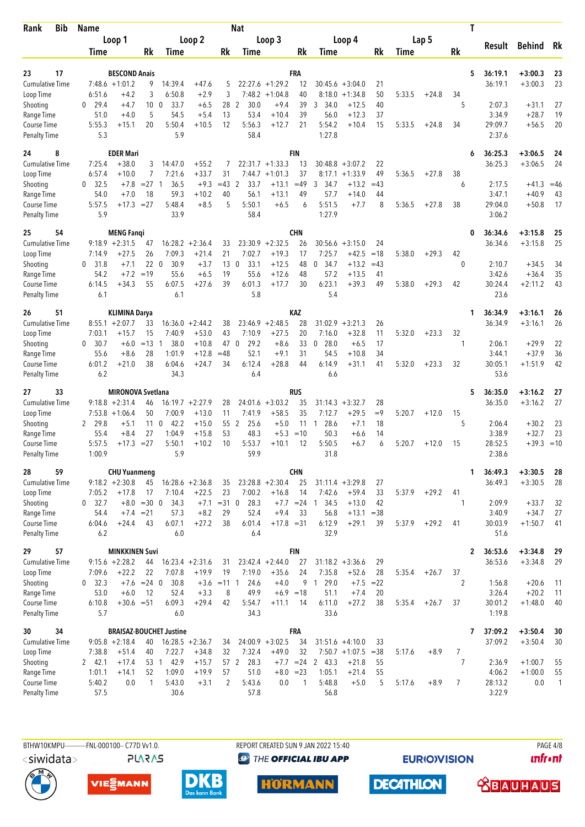| <b>Bib</b><br>Rank                  | Name                   |                                          |                 |                                 |                               |               | <b>Nat</b>                    |                               |               |                        |                                       |             |        |         |                | T                       |                    |                |
|-------------------------------------|------------------------|------------------------------------------|-----------------|---------------------------------|-------------------------------|---------------|-------------------------------|-------------------------------|---------------|------------------------|---------------------------------------|-------------|--------|---------|----------------|-------------------------|--------------------|----------------|
|                                     |                        | Loop 1                                   |                 |                                 | Loop 2                        |               |                               | Loop 3                        |               |                        | Loop 4                                |             |        | Lap 5   |                | Result                  | <b>Behind</b>      | Rk             |
|                                     | Time                   |                                          | Rk              | Time                            |                               | Rk            | Time                          |                               | Rk            | Time                   |                                       | Rk          | Time   |         | Rk             |                         |                    |                |
| 23<br>17                            |                        | <b>BESCOND Anais</b>                     |                 |                                 |                               |               |                               |                               | FRA           |                        |                                       |             |        |         |                | 5<br>36:19.1            | $+3:00.3$          | 23             |
| <b>Cumulative Time</b>              |                        | $7:48.6 + 1:01.2$                        | 9               | 14:39.4                         | $+47.6$                       | 5             | 22:27.6                       | $+1:29.2$                     | 12            | 30:45.6                | $+3:04.0$                             | 21          |        |         |                | 36:19.1                 | $+3:00.3$          | 23             |
| Loop Time                           | 6:51.6                 | $+4.2$                                   | 3               | 6:50.8                          | $+2.9$                        | 3             |                               | $7:48.2 +1:04.8$              | 40            | 8:18.0                 | $+1:34.8$                             | 50          | 5:33.5 | $+24.8$ | 34             |                         |                    |                |
| Shooting                            | 29.4<br>0              | $+4.7$                                   | 10 <sub>0</sub> | 33.7                            | $+6.5$                        | 28            | $\overline{2}$<br>30.0        | $+9.4$                        | 39            | 3<br>34.0              | $+12.5$                               | 40          |        |         | 5              | 2:07.3                  | $+31.1$            | 27             |
| Range Time<br><b>Course Time</b>    | 51.0<br>5:55.3         | $+4.0$<br>$+15.1$                        | 5<br>20         | 54.5<br>5:50.4                  | $+5.4$<br>$+10.5$             | 13<br>12      | 53.4<br>5:56.3                | $+10.4$<br>$+12.7$            | 39<br>21      | 56.0<br>5:54.2         | $+12.3$<br>$+10.4$                    | 37<br>15    | 5:33.5 | $+24.8$ | 34             | 3:34.9<br>29:09.7       | $+28.7$<br>$+56.5$ | 19<br>20       |
| <b>Penalty Time</b>                 | 5.3                    |                                          |                 | 5.9                             |                               |               | 58.4                          |                               |               | 1:27.8                 |                                       |             |        |         |                | 2:37.6                  |                    |                |
| 8<br>24                             |                        | <b>EDER Mari</b>                         |                 |                                 |                               |               |                               |                               | <b>FIN</b>    |                        |                                       |             |        |         |                | 36:25.3<br>6            | $+3:06.5$          | 24             |
| <b>Cumulative Time</b>              | 7:25.4                 | $+38.0$                                  | 3               | 14:47.0                         | $+55.2$                       | 7             |                               | $22:31.7 +1:33.3$             | 13            | 30:48.8                | $+3:07.2$                             | 22          |        |         |                | 36:25.3                 | $+3:06.5$          | 24             |
| Loop Time                           | 6:57.4<br>$\mathbf{0}$ | $+10.0$                                  | 7               | 7:21.6                          | $+33.7$                       | 31<br>$=43$   | 2                             | $7:44.7 +1:01.3$              | 37<br>$=49$   | 8:17.1<br>3            | $+1:33.9$                             | 49<br>$=43$ | 5:36.5 | $+27.8$ | 38             |                         |                    |                |
| Shooting<br>Range Time              | 32.5<br>54.0           | $+7.8$<br>$+7.0$                         | $= 27$ 1<br>18  | 36.5<br>59.3                    | $+9.3$<br>$+10.2$             | 40            | 33.7<br>56.1                  | $+13.1$<br>$+13.1$            | 49            | 34.7<br>57.7           | $+13.2$<br>$+14.0$                    | 44          |        |         | 6              | 2:17.5<br>3:47.1        | $+41.3$<br>$+40.9$ | $=46$<br>43    |
| <b>Course Time</b>                  | 5:57.5                 | $+17.3$                                  | $= 27$          | 5:48.4                          | $+8.5$                        | 5             | 5:50.1                        | $+6.5$                        | 6             | 5:51.5                 | $+7.7$                                | 8           | 5:36.5 | $+27.8$ | 38             | 29:04.0                 | $+50.8$            | 17             |
| <b>Penalty Time</b>                 | 5.9                    |                                          |                 | 33.9                            |                               |               | 58.4                          |                               |               | 1:27.9                 |                                       |             |        |         |                | 3:06.2                  |                    |                |
| 54<br>25                            |                        | <b>MENG Fanqi</b>                        |                 |                                 |                               |               |                               |                               | CHN           |                        |                                       |             |        |         |                | 36:34.6<br>0            | $+3:15.8$          | 25             |
| <b>Cumulative Time</b><br>Loop Time | 7:14.9                 | $9:18.9 + 2:31.5$<br>$+27.5$             | 47<br>26        | 7:09.3                          | $16:28.2 + 2:36.4$<br>$+21.4$ | 33<br>21      | 7:02.7                        | $23:30.9 +2:32.5$<br>$+19.3$  | 26<br>17      | 30:56.6<br>7:25.7      | $+3:15.0$<br>$+42.5$                  | 24<br>$=18$ | 5:38.0 | $+29.3$ | 42             | 36:34.6                 | $+3:15.8$          | 25             |
| Shooting                            | 31.8<br>0              | $+7.1$                                   | 22              | $\overline{\mathbf{0}}$<br>30.9 | $+3.7$                        | 13            | 33.1<br>$\mathbf 0$           | $+12.5$                       | 48            | 34.7<br>0              | $+13.2$                               | $=43$       |        |         | $\mathbf{0}$   | 2:10.7                  | $+34.5$            | 34             |
| Range Time                          | 54.2                   | $+7.2$                                   | $=19$           | 55.6                            | $+6.5$                        | 19            | 55.6                          | $+12.6$                       | 48            | 57.2                   | $+13.5$                               | 41          |        |         |                | 3:42.6                  | $+36.4$            | 35             |
| Course Time                         | 6:14.5                 | $+34.3$                                  | 55              | 6:07.5                          | $+27.6$                       | 39            | 6:01.3                        | $+17.7$                       | 30            | 6:23.1                 | $+39.3$                               | 49          | 5:38.0 | $+29.3$ | 42             | 30:24.4                 | $+2:11.2$          | 43             |
| <b>Penalty Time</b>                 | 6.1                    |                                          |                 | 6.1                             |                               |               | 5.8                           |                               |               | 5.4                    |                                       |             |        |         |                | 23.6                    |                    |                |
| 51<br>26                            |                        | KLIMINA Darya                            |                 |                                 |                               |               |                               |                               | KAZ           |                        |                                       |             |        |         |                | 36:34.9<br>1            | $+3:16.1$          | 26             |
| <b>Cumulative Time</b>              | 7:03.1                 | $8:55.1 + 2:07.7$                        | 33              |                                 | $16:36.0 + 2:44.2$            | 38<br>43      |                               | $23:46.9 + 2:48.5$            | 28            | 31:02.9                | $+3:21.3$                             | 26          |        |         |                | 36:34.9                 | $+3:16.1$          | 26             |
| Loop Time<br>Shooting               | $\mathbf{0}$<br>30.7   | $+15.7$<br>$+6.0$                        | 15<br>$=13$     | 7:40.9<br>38.0<br>-1            | $+53.0$<br>$+10.8$            | 47            | 7:10.9<br>29.2<br>$\mathbf 0$ | $+27.5$<br>$+8.6$             | 20<br>33      | 7:16.0<br>28.0<br>0    | $+32.8$<br>$+6.5$                     | 11<br>17    | 5:32.0 | $+23.3$ | 32<br>1        | 2:06.1                  | $+29.9$            | 22             |
| Range Time                          | 55.6                   | $+8.6$                                   | 28              | 1:01.9                          | $+12.8$                       | $=48$         | 52.1                          | $+9.1$                        | 31            | 54.5                   | $+10.8$                               | 34          |        |         |                | 3:44.1                  | $+37.9$            | 36             |
| Course Time                         | 6:01.2                 | $+21.0$                                  | 38              | 6:04.6                          | $+24.7$                       | 34            | 6:12.4                        | $+28.8$                       | 44            | 6:14.9                 | $+31.1$                               | 41          | 5:32.0 | $+23.3$ | 32             | 30:05.1                 | $+1:51.9$          | 42             |
| <b>Penalty Time</b>                 | 6.2                    |                                          |                 | 34.3                            |                               |               | 6.4                           |                               |               | 6.6                    |                                       |             |        |         |                | 53.6                    |                    |                |
| 33<br>27                            |                        | <b>MIRONOVA Svetlana</b>                 |                 |                                 |                               |               |                               |                               | RUS           |                        |                                       |             |        |         |                | 5<br>36:35.0            | $+3:16.2$          | 27             |
| Cumulative Time<br>Loop Time        |                        | $9:18.8 + 2:31.4$<br>$7:53.8$ +1:06.4    | 46<br>50        | 7:00.9                          | $16:19.7 + 2:27.9$<br>$+13.0$ | 28<br>11      | 7:41.9                        | $24:01.6 +3:03.2$<br>$+58.5$  | 35<br>35      | 31:14.3<br>7:12.7      | $+3:32.7$<br>$+29.5$                  | 28<br>$=9$  | 5:20.7 | $+12.0$ | 15             | 36:35.0                 | $+3:16.2$          | 27             |
| Shooting                            | 29.8<br>2              | $+5.1$                                   | 11              | $\mathbf{0}$<br>42.2            | $+15.0$                       | 55            | 2<br>25.6                     | $+5.0$                        | 11            | 28.6<br>-1             | $+7.1$                                | 18          |        |         | 5              | 2:06.4                  | $+30.2$            | 23             |
| Range Time                          | 55.4                   | $+8.4$                                   | 27              | 1:04.9                          | $+15.8$                       | 53            | 48.3                          | $+5.3$                        | $=10$         | 50.3                   | $+6.6$                                | 14          |        |         |                | 3:38.9                  | $+32.7$            | 23             |
| <b>Course Time</b>                  | 5:57.5                 | +17.3                                    | $= 27$          | 5:50.1                          | $+10.2$                       | 10            | 5:53.7                        | $+10.1$                       | 12            | 5:50.5                 | $+6.7$                                | 6           | 5:20.7 | $+12.0$ | 15             | 28:52.5                 | $+39.3 = 10$       |                |
| <b>Penalty Time</b>                 | 1:00.9                 |                                          |                 | 5.9                             |                               |               | 59.9                          |                               |               | 31.8                   |                                       |             |        |         |                | 2:38.6                  |                    |                |
| 59<br>28                            |                        | <b>CHU Yuanmeng</b><br>$9:18.2 + 2:30.8$ |                 |                                 |                               |               |                               |                               | <b>CHN</b>    |                        |                                       |             |        |         |                | 36:49.3<br>1            | $+3:30.5$          | 28             |
| Cumulative Time<br>Loop Time        | 7:05.2                 | $+17.8$                                  | 45<br>17        | 7:10.4                          | $16:28.6 + 2:36.8$<br>$+22.5$ | 35<br>23      | 7:00.2                        | $23:28.8 + 2:30.4$<br>$+16.8$ | 25<br>14      | 7:42.6                 | $31:11.4 + 3:29.8$<br>$+59.4$         | 27<br>33    | 5:37.9 | $+29.2$ | 41             | 36:49.3                 | $+3:30.5$          | 28             |
| Shooting                            | 0, 32.7                |                                          | $+8.0 = 30 0$   | 34.3                            |                               | $+7.1 = 31$ 0 | 28.3                          |                               | $+7.7 = 24$ 1 | 34.5                   | $+13.0$                               | 42          |        |         | 1              | 2:09.9                  | $+33.7$            | 32             |
| Range Time                          | 54.4                   | $+7.4 = 21$                              |                 | 57.3                            | $+8.2$                        | 29            | 52.4                          | $+9.4$                        | 33            | 56.8                   | $+13.1 = 38$                          |             |        |         |                | 3:40.9                  | $+34.7$            | 27             |
| Course Time                         | 6:04.6                 | $+24.4$                                  | 43              | 6:07.1                          | $+27.2$                       | 38            | 6:01.4                        | $+17.8 = 31$                  |               | 6:12.9                 | $+29.1$                               | 39          | 5:37.9 | $+29.2$ | 41             | 30:03.9                 | $+1:50.7$          | 41             |
| <b>Penalty Time</b>                 | 6.2                    |                                          |                 | 6.0                             |                               |               | 6.4                           |                               |               | 32.9                   |                                       |             |        |         |                | 51.6                    |                    |                |
| 57<br>29                            |                        | <b>MINKKINEN Suvi</b>                    |                 |                                 |                               |               |                               |                               | <b>FIN</b>    |                        |                                       |             |        |         |                | 36:53.6<br>$\mathbf{2}$ | $+3:34.8$          | 29             |
| <b>Cumulative Time</b><br>Loop Time | 7:09.6                 | $9:15.6 + 2:28.2$<br>$+22.2$             | 44<br>22        | 7:07.8                          | $16:23.4 +2:31.6$<br>$+19.9$  | 31<br>19      | 7:19.0                        | $23:42.4 + 2:44.0$<br>$+35.6$ | 27<br>24      | 7:35.8                 | $31:18.2 + 3:36.6$<br>$+52.6$         | 29<br>28    | 5:35.4 | $+26.7$ | 37             | 36:53.6                 | $+3:34.8$          | 29             |
| Shooting                            | $0$ 32.3               |                                          | $+7.6 = 24$ 0   | 30.8                            |                               | $+3.6$ = 11 1 | 24.6                          | $+4.0$                        | 9             | 29.0<br>$\overline{1}$ |                                       | $+7.5 = 22$ |        |         | $\overline{2}$ | 1:56.8                  | $+20.6$            | -11            |
| Range Time                          | 53.0                   | $+6.0$                                   | 12              | 52.4                            | $+3.3$                        | 8             | 49.9                          | $+6.9 = 18$                   |               | 51.1                   | $+7.4$                                | 20          |        |         |                | 3:26.4                  | $+20.2$            | -11            |
| Course Time                         | 6:10.8                 | $+30.6 = 51$                             |                 | 6:09.3                          | $+29.4$                       | 42            | 5:54.7                        | $+11.1$                       | 14            | 6:11.0                 | $+27.2$                               | 38          | 5:35.4 | $+26.7$ | 37             | 30:01.2                 | $+1:48.0$          | 40             |
| <b>Penalty Time</b>                 | 5.7                    |                                          |                 | 6.0                             |                               |               | 34.3                          |                               |               | 33.6                   |                                       |             |        |         |                | 1:19.8                  |                    |                |
| 34<br>30                            |                        |                                          |                 | <b>BRAISAZ-BOUCHET Justine</b>  |                               |               |                               |                               | <b>FRA</b>    |                        |                                       |             |        |         |                | 37:09.2<br>7            | $+3:50.4$          | 30             |
| <b>Cumulative Time</b><br>Loop Time | 7:38.8                 | $9:05.8 + 2:18.4$<br>$+51.4$             | 40<br>40        | 7:22.7                          | $16:28.5 + 2:36.7$<br>$+34.8$ | 34<br>32      | 7:32.4                        | $24:00.9 + 3:02.5$<br>$+49.0$ | 34<br>32      |                        | $31:51.6 +4:10.0$<br>$7:50.7 +1:07.5$ | 33<br>$=38$ | 5:17.6 | $+8.9$  | $\overline{7}$ | 37:09.2                 | $+3:50.4$          | 30             |
| Shooting                            | 2, 42.1                | $+17.4$                                  |                 | 53 1 42.9                       | $+15.7$                       |               | 57 2<br>28.3                  |                               | $+7.7 = 24$   | 2 43.3                 | $+21.8$                               | 55          |        |         | $\overline{7}$ | 2:36.9                  | $+1:00.7$          | 55             |
| Range Time                          | 1:01.1                 | $+14.1$                                  | 52              | 1:09.0                          | $+19.9$                       | 57            | 51.0                          | $+8.0 = 23$                   |               | 1:05.1                 | $+21.4$                               | 55          |        |         |                | 4:06.2                  | $+1:00.0$          | 55             |
| Course Time                         | 5:40.2                 | 0.0                                      | $\mathbf{1}$    | 5:43.0                          | $+3.1$                        | 2             | 5:43.6                        | 0.0                           | $\mathbf{1}$  | 5:48.8                 | $+5.0$                                | 5           | 5:17.6 | $+8.9$  | $\overline{7}$ | 28:13.2                 | 0.0                | $\overline{1}$ |
| <b>Penalty Time</b>                 | 57.5                   |                                          |                 | 30.6                            |                               |               | 57.8                          |                               |               | 56.8                   |                                       |             |        |         |                | 3:22.9                  |                    |                |

BTHW10KMPU-----------FNL-000100-- C77D W1.0. REPORT CREATED SUN 9 JAN 2022 15:40 PAGE 4/8 **PLARAS** 

<siwidata>

VIESMANN



**<sup><sup>3</sup>** THE OFFICIAL IBU APP</sup>

**HORMANN** 

**EURIOVISION** 

**DECATHLON** 

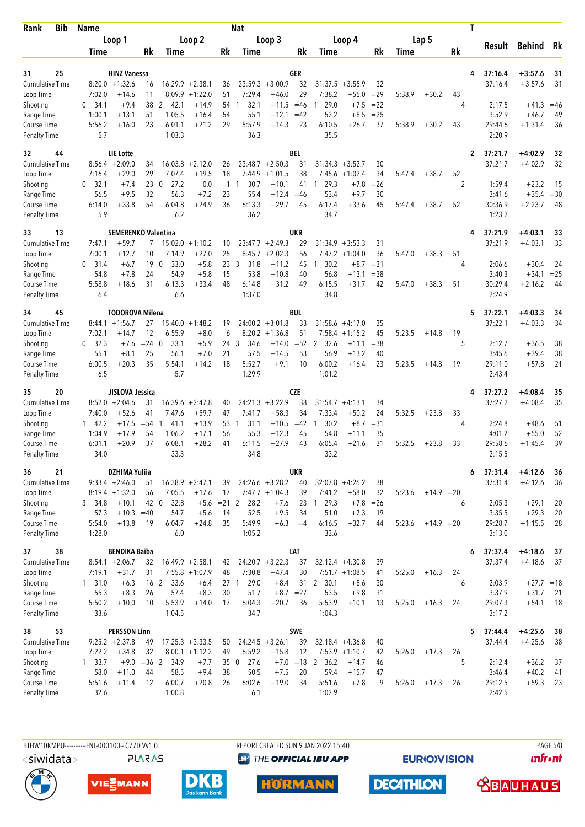| <b>Bib</b><br>Rank                  | <b>Name</b>     |                                         |                 |                             |                               |                     | <b>Nat</b>                   |                              |             |                              |                              |             |        |              |                | T |                    |                        |              |
|-------------------------------------|-----------------|-----------------------------------------|-----------------|-----------------------------|-------------------------------|---------------------|------------------------------|------------------------------|-------------|------------------------------|------------------------------|-------------|--------|--------------|----------------|---|--------------------|------------------------|--------------|
|                                     |                 | Loop 1                                  |                 |                             | Loop 2                        |                     |                              | Loop 3                       |             |                              | Loop 4                       |             |        | Lap 5        |                |   | Result             | <b>Behind</b>          | Rk           |
|                                     | Time            |                                         | Rk              | Time                        |                               | Rk                  | Time                         |                              | Rk          | Time                         |                              | Rk          | Time   |              | Rk             |   |                    |                        |              |
|                                     |                 |                                         |                 |                             |                               |                     |                              |                              |             |                              |                              |             |        |              |                |   |                    |                        |              |
| 25<br>31<br><b>Cumulative Time</b>  |                 | <b>HINZ Vanessa</b><br>$8:20.0 +1:32.6$ |                 |                             | $16:29.9 + 2:38.1$            |                     |                              | $23:59.3 + 3:00.9$           | GER<br>32   | 31:37.5                      | $+3:55.9$                    | 32          |        |              |                | 4 | 37:16.4<br>37:16.4 | $+3:57.6$<br>$+3:57.6$ | 31<br>31     |
| Loop Time                           | 7:02.0          | $+14.6$                                 | 16<br>11        | 8:09.9                      | $+1:22.0$                     | 36<br>51            | 7:29.4                       | $+46.0$                      | 29          | 7:38.2                       | $+55.0$                      | $=29$       | 5:38.9 | $+30.2$      | 43             |   |                    |                        |              |
| Shooting                            | 34.1<br>0       | $+9.4$                                  | 38              | 2<br>42.1                   | $+14.9$                       | 54                  | 32.1<br>1                    | $+11.5$                      | $=46$       | 29.0                         | $+7.5$                       | $= 22$      |        |              | 4              |   | 2:17.5             | $+41.3$                | $=46$        |
| Range Time                          | 1:00.1          | $+13.1$                                 | 51              | 1:05.5                      | $+16.4$                       | 54                  | 55.1                         | $+12.1$                      | $=42$       | 52.2                         | $+8.5$                       | $= 25$      |        |              |                |   | 3:52.9             | $+46.7$                | 49           |
| Course Time                         | 5:56.2          | $+16.0$                                 | 23              | 6:01.1                      | $+21.2$                       | 29                  | 5:57.9                       | $+14.3$                      | 23          | 6:10.5                       | $+26.7$                      | 37          | 5:38.9 | $+30.2$      | 43             |   | 29:44.6            | $+1:31.4$              | 36           |
| <b>Penalty Time</b>                 | 5.7             |                                         |                 | 1:03.3                      |                               |                     | 36.3                         |                              |             | 35.5                         |                              |             |        |              |                |   | 2:20.9             |                        |              |
| 32<br>44                            |                 | <b>LIE</b> Lotte                        |                 |                             |                               |                     |                              |                              | <b>BEL</b>  |                              |                              |             |        |              |                | 2 | 37:21.7            | +4:02.9                | 32           |
| <b>Cumulative Time</b>              |                 | $8:56.4 + 2:09.0$                       | 34              | 16:03.8                     | $+2:12.0$                     | 26                  |                              | $23:48.7 + 2:50.3$           | 31          |                              | $31:34.3 + 3:52.7$           | 30          |        |              |                |   | 37:21.7            | $+4:02.9$              | 32           |
| Loop Time                           | 7:16.4          | $+29.0$                                 | 29              | 7:07.4                      | $+19.5$                       | 18                  | 7:44.9                       | $+1:01.5$                    | 38          | 7:45.6                       | $+1:02.4$                    | 34          | 5:47.4 | $+38.7$      | 52             |   |                    |                        |              |
| Shooting                            | 0, 32.1<br>56.5 | $+7.4$<br>$+9.5$                        | 23<br>32        | $\mathbf 0$<br>27.2<br>56.3 | 0.0<br>$+7.2$                 | 1<br>23             | 30.7<br>$\mathbf{1}$<br>55.4 | $+10.1$<br>$+12.4$           | 41<br>$=46$ | 29.3<br>$\mathbf{1}$<br>53.4 | $+7.8$<br>$+9.7$             | $=26$<br>30 |        |              | $\overline{2}$ |   | 1:59.4<br>3:41.6   | $+23.2$<br>$+35.4$     | 15<br>$= 30$ |
| Range Time<br>Course Time           | 6:14.0          | $+33.8$                                 | 54              | 6:04.8                      | $+24.9$                       | 36                  | 6:13.3                       | $+29.7$                      | 45          | 6:17.4                       | $+33.6$                      | 45          | 5:47.4 | $+38.7$      | 52             |   | 30:36.9            | $+2:23.7$              | 48           |
| <b>Penalty Time</b>                 | 5.9             |                                         |                 | 6.2                         |                               |                     | 36.2                         |                              |             | 34.7                         |                              |             |        |              |                |   | 1:23.2             |                        |              |
| 13<br>33                            |                 | <b>SEMERENKO Valentina</b>              |                 |                             |                               |                     |                              |                              | <b>UKR</b>  |                              |                              |             |        |              |                | 4 | 37:21.9            | $+4:03.1$              | 33           |
| <b>Cumulative Time</b>              | 7:47.1          | +59.7                                   | 7               | 15:02.0                     | $+1:10.2$                     | 10                  |                              | $23:47.7 + 2:49.3$           | 29          | 31:34.9                      | $+3:53.3$                    | 31          |        |              |                |   | 37:21.9            | $+4:03.1$              | 33           |
| Loop Time                           | 7:00.1          | $+12.7$                                 | 10              | 7:14.9                      | $+27.0$                       | 25                  |                              | $8:45.7 + 2:02.3$            | 56          |                              | $7:47.2 +1:04.0$             | 36          | 5:47.0 | $+38.3$      | 51             |   |                    |                        |              |
| Shooting                            | 31.4<br>0       | $+6.7$                                  | 19              | $\mathbf 0$<br>33.0         | $+5.8$                        | 233                 | 31.8                         | $+11.2$                      | 45          | 30.2<br>$\overline{1}$       | $+8.7$                       | $=31$       |        |              | 4              |   | 2:06.6             | $+30.4$                | 24           |
| Range Time                          | 54.8            | $+7.8$                                  | 24              | 54.9                        | $+5.8$                        | 15                  | 53.8                         | $+10.8$                      | 40          | 56.8                         | $+13.1$                      | $= 38$      |        |              |                |   | 3:40.3             | $+34.1$                | $= 25$       |
| Course Time<br><b>Penalty Time</b>  | 5:58.8<br>6.4   | $+18.6$                                 | 31              | 6:13.3<br>6.6               | $+33.4$                       | 48                  | 6:14.8<br>1:37.0             | $+31.2$                      | 49          | 6:15.5<br>34.8               | $+31.7$                      | 42          | 5:47.0 | $+38.3$      | 51             |   | 30:29.4<br>2:24.9  | $+2:16.2$              | 44           |
| 45<br>34                            |                 | <b>TODOROVA Milena</b>                  |                 |                             |                               |                     |                              |                              | <b>BUL</b>  |                              |                              |             |        |              |                | 5 | 37:22.1            | $+4:03.3$              | 34           |
| <b>Cumulative Time</b>              |                 | $8:44.1 + 1:56.7$                       | 27              |                             | $15:40.0 + 1:48.2$            | 19                  |                              | $24:00.2 +3:01.8$            | 33          |                              | $31:58.6 + 4:17.0$           | 35          |        |              |                |   | 37:22.1            | $+4:03.3$              | 34           |
| Loop Time                           | 7:02.1          | $+14.7$                                 | 12              | 6:55.9                      | $+8.0$                        | 6                   | 8:20.2                       | $+1:36.8$                    | 51          | 7:58.4                       | $+1:15.2$                    | 45          | 5:23.5 | $+14.8$      | 19             |   |                    |                        |              |
| Shooting                            | 0, 32.3         | $+7.6$                                  | $= 24 \ 0$      | 33.1                        | $+5.9$                        | 24                  | 3<br>34.6                    | $+14.0$                      | $=52$       | 2<br>32.6                    | $+11.1$                      | $= 38$      |        |              | 5              |   | 2:12.7             | $+36.5$                | 38           |
| Range Time                          | 55.1            | $+8.1$                                  | 25              | 56.1                        | $+7.0$                        | 21                  | 57.5                         | $+14.5$                      | 53          | 56.9                         | $+13.2$                      | 40          |        |              |                |   | 3:45.6             | $+39.4$                | 38           |
| Course Time<br><b>Penalty Time</b>  | 6:00.5<br>6.5   | $+20.3$                                 | 35              | 5:54.1<br>5.7               | $+14.2$                       | 18                  | 5:52.7<br>1:29.9             | $+9.1$                       | 10          | 6:00.2<br>1:01.2             | $+16.4$                      | 23          | 5:23.5 | $+14.8$      | 19             |   | 29:11.0<br>2:43.4  | $+57.8$                | 21           |
|                                     |                 |                                         |                 |                             |                               |                     |                              |                              |             |                              |                              |             |        |              |                |   |                    |                        |              |
| 35<br>20                            |                 | JISLOVA Jessica                         |                 |                             |                               |                     |                              |                              | <b>CZE</b>  |                              |                              |             |        |              |                | 4 | 37:27.2            | $+4:08.4$              | 35           |
| <b>Cumulative Time</b><br>Loop Time | 7:40.0          | $8:52.0 + 2:04.6$<br>$+52.6$            | 31<br>41        | 7:47.6                      | $16:39.6 + 2:47.8$<br>$+59.7$ | 40<br>47            | 7:41.7                       | $24:21.3 +3:22.9$<br>$+58.3$ | 38<br>34    | 7:33.4                       | $31:54.7 +4:13.1$<br>$+50.2$ | 34<br>24    | 5:32.5 | $+23.8$      | 33             |   | 37:27.2            | $+4:08.4$              | 35           |
| Shooting                            | 142.2           | $+17.5$                                 | $= 54$          | 41.1<br>-1                  | $+13.9$                       | 53                  | 31.1<br>$\overline{1}$       | $+10.5$                      | $=42$       | 30.2<br>-1                   | $+8.7$                       | $= 31$      |        |              | 4              |   | 2:24.8             | $+48.6$                | 51           |
| Range Time                          | 1:04.9          | $+17.9$                                 | 54              | 1:06.2                      | $+17.1$                       | 56                  | 55.3                         | $+12.3$                      | 45          | 54.8                         | $+11.1$                      | 35          |        |              |                |   | 4:01.2             | $+55.0$                | 52           |
| Course Time                         | 6:01.1          | $+20.9$                                 | 37              | 6:08.1                      | $+28.2$                       | 41                  | 6:11.5                       | $+27.9$                      | 43          | 6:05.4                       | $+21.6$                      | 31          | 5:32.5 | $+23.8$      | 33             |   | 29:58.6            | $+1:45.4$              | 39           |
| <b>Penalty Time</b>                 | 34.0            |                                         |                 | 33.3                        |                               |                     | 34.8                         |                              |             | 33.2                         |                              |             |        |              |                |   | 2:15.5             |                        |              |
| 21<br>36                            |                 | <b>DZHIMA Yuliia</b>                    |                 |                             |                               |                     |                              |                              | UKR         |                              |                              |             |        |              |                | 6 | 37:31.4            | $+4:12.6$              | 36           |
| Cumulative Time                     |                 | $9:33.4 +2:46.0$                        | 51              |                             | $16:38.9 + 2:47.1$            | 39                  |                              | $24:26.6 + 3:28.2$           | 40          |                              | $32:07.8 +4:26.2$            | 38          |        |              |                |   | 37:31.4            | $+4:12.6$              | 36           |
| Loop Time                           |                 | $8:19.4 + 1:32.0$                       | 56              | 7:05.5                      | $+17.6$                       | 17                  |                              | $7:47.7 +1:04.3$             | 39          | 7:41.2                       | $+58.0$                      | 32          | 5:23.6 | $+14.9$ = 20 |                |   |                    |                        |              |
| Shooting<br>Range Time              | 3 34.8<br>57.3  | $+10.1$<br>$+10.3$                      | 42 0<br>$=40$   | 32.8<br>54.7                | $+5.6$                        | $+5.6$ = 21 2<br>14 | 28.2<br>52.5                 | $+7.6$<br>$+9.5$             | 34          | 23 1 29.3<br>51.0            | $+7.8$<br>$+7.3$             | $=26$<br>19 |        |              | 6              |   | 2:05.3<br>3:35.5   | $+29.1$<br>$+29.3$     | 20<br>20     |
| Course Time                         | 5:54.0          | $+13.8$                                 | 19              | 6:04.7                      | $+24.8$                       | 35                  | 5:49.9                       | $+6.3$                       | $=4$        | 6:16.5                       | $+32.7$                      | 44          | 5:23.6 | $+14.9 = 20$ |                |   | 29:28.7            | $+1:15.5$              | 28           |
| <b>Penalty Time</b>                 | 1:28.0          |                                         |                 | 6.0                         |                               |                     | 1:05.2                       |                              |             | 33.6                         |                              |             |        |              |                |   | 3:13.0             |                        |              |
| 38<br>37                            |                 | <b>BENDIKA Baiba</b>                    |                 |                             |                               |                     |                              |                              | LAT         |                              |                              |             |        |              |                | 6 | 37:37.4            | $+4:18.6$              | 37           |
| <b>Cumulative Time</b>              |                 | $8:54.1 + 2:06.7$                       | 32              |                             | $16:49.9 + 2:58.1$            | 42                  |                              | $24:20.7 + 3:22.3$           | 37          |                              | $32:12.4 +4:30.8$            | 39          |        |              |                |   | 37:37.4            | $+4:18.6$              | 37           |
| Loop Time                           | 7:19.1          | $+31.7$                                 | 31              |                             | $7:55.8$ +1:07.9              | 48                  | 7:30.8                       | $+47.4$                      | 30          |                              | $7:51.7 +1:08.5$             | 41          | 5:25.0 | $+16.3$      | 24             |   |                    |                        |              |
| Shooting                            | 1, 31.0         | $+6.3$                                  | 16 <sub>2</sub> | 33.6                        | $+6.4$                        | 27 1                | 29.0                         | $+8.4$                       | 31          | 2 30.1                       | $+8.6$                       | 30          |        |              | 6              |   | 2:03.9             | $+27.7 = 18$           |              |
| Range Time<br>Course Time           | 55.3<br>5:50.2  | $+8.3$<br>$+10.0$                       | 26<br>10        | 57.4<br>5:53.9              | $+8.3$<br>$+14.0$             | 30<br>17            | 51.7<br>6:04.3               | $+8.7 = 27$<br>$+20.7$       | 36          | 53.5<br>5:53.9               | $+9.8$<br>$+10.1$            | 31<br>13    | 5:25.0 | $+16.3$      | 24             |   | 3:37.9<br>29:07.3  | $+31.7$<br>$+54.1$     | 21<br>18     |
| <b>Penalty Time</b>                 | 33.6            |                                         |                 | 1:04.5                      |                               |                     | 34.7                         |                              |             | 1:04.3                       |                              |             |        |              |                |   | 3:17.2             |                        |              |
| 53<br>38                            |                 | <b>PERSSON Linn</b>                     |                 |                             |                               |                     |                              |                              | <b>SWE</b>  |                              |                              |             |        |              |                | 5 | 37:44.4            | $+4:25.6$              | 38           |
| <b>Cumulative Time</b>              |                 | $9:25.2 +2:37.8$                        | 49              |                             | $17:25.3 +3:33.5$             | 50                  |                              | $24:24.5 +3:26.1$            | 39          |                              | $32:18.4 +4:36.8$            | 40          |        |              |                |   | 37:44.4            | $+4:25.6$              | 38           |
| Loop Time                           | 7:22.2          | $+34.8$                                 | 32              |                             | $8:00.1 + 1:12.2$             | 49                  | 6:59.2                       | $+15.8$                      | 12          |                              | $7:53.9 +1:10.7$             | 42          | 5:26.0 | $+17.3$      | 26             |   |                    |                        |              |
| Shooting                            | $1 \quad 33.7$  | $+9.0$                                  | $=36$ 2         | 34.9                        | $+7.7$                        | 35                  | 27.6<br>$\overline{0}$       |                              |             | $+7.0 = 18$ 2 36.2           | $+14.7$                      | 46          |        |              | 5              |   | 2:12.4             | $+36.2$                | 37           |
| Range Time<br>Course Time           | 58.0<br>5:51.6  | $+11.0$<br>$+11.4$                      | 44<br>12        | 58.5<br>6:00.7              | $+9.4$<br>$+20.8$             | 38<br>26            | 50.5<br>6:02.6               | $+7.5$<br>$+19.0$            | 20<br>34    | 59.4<br>5:51.6               | $+15.7$<br>$+7.8$            | 47<br>9     | 5:26.0 | $+17.3$      | 26             |   | 3:46.4<br>29:12.5  | $+40.2$<br>$+59.3$     | 41<br>23     |
| <b>Penalty Time</b>                 | 32.6            |                                         |                 | 1:00.8                      |                               |                     | 6.1                          |                              |             | 1:02.9                       |                              |             |        |              |                |   | 2:42.5             |                        |              |
|                                     |                 |                                         |                 |                             |                               |                     |                              |                              |             |                              |                              |             |        |              |                |   |                    |                        |              |

**PLARAS** 

BTHW10KMPU-----------FNL-000100-- C77D W1.0. REPORT CREATED SUN 9 JAN 2022 15:40 PAGE 5/8 **<sup><sup>3</sup>** THE OFFICIAL IBU APP</sup>

**EURIOVISION** 

**unfront** 









**DECATHLON** 

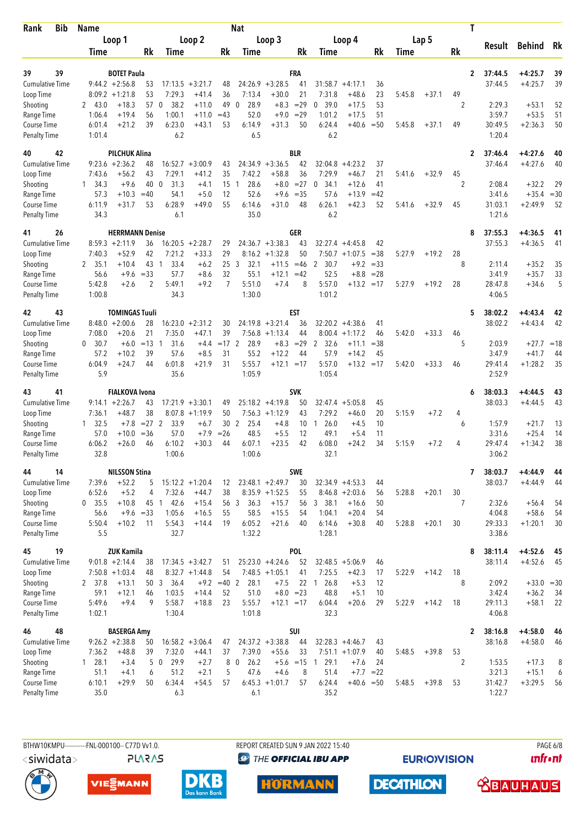| Bib<br><b>Rank</b>                        | <b>Name</b>              |                                        |                 |                                  |                                        |                 | <b>Nat</b>                       |                                        |                 |                               |                                        |             |        |         |                      | T                         |                      |          |
|-------------------------------------------|--------------------------|----------------------------------------|-----------------|----------------------------------|----------------------------------------|-----------------|----------------------------------|----------------------------------------|-----------------|-------------------------------|----------------------------------------|-------------|--------|---------|----------------------|---------------------------|----------------------|----------|
|                                           |                          | Loop 1                                 |                 |                                  | Loop 2                                 |                 |                                  | Loop 3                                 |                 |                               | Loop 4                                 |             |        | Lap 5   |                      | Result                    | <b>Behind</b>        | Rk       |
|                                           | Time                     |                                        | <b>Rk</b>       | Time                             |                                        | Rk              | Time                             |                                        | Rk              | Time                          |                                        | Rk          | Time   |         | Rk                   |                           |                      |          |
| 39<br>39                                  |                          | <b>BOTET Paula</b>                     |                 |                                  |                                        |                 |                                  |                                        | FRA             |                               |                                        |             |        |         |                      | 37:44.5<br>$\overline{2}$ | $+4:25.7$            | 39       |
| <b>Cumulative Time</b>                    |                          | $9:44.2 + 2:56.8$                      | 53              | 17:13.5                          | $+3:21.7$                              | 48              |                                  | $24:26.9 + 3:28.5$                     | 41              | 31:58.7                       | $+4:17.1$                              | 36          |        |         |                      | 37:44.5                   | $+4:25.7$            | 39       |
| Loop Time                                 |                          | $8:09.2 +1:21.8$                       | 53              | 7:29.3                           | $+41.4$                                | 36              | 7:13.4                           | $+30.0$                                | 21              | 7:31.8                        | $+48.6$                                | 23          | 5:45.8 | $+37.1$ | 49                   |                           |                      |          |
| Shooting                                  | 2<br>43.0                | $+18.3$                                | 57              | 38.2<br>$\mathbf{0}$             | $+11.0$                                | 49              | 28.9<br>$\mathbf{0}$             | $+8.3$                                 | $=29$           | 39.0<br>$\mathbf{0}$          | $+17.5$                                | 53          |        |         | 2                    | 2:29.3                    | $+53.1$              | 52       |
| Range Time                                | 1:06.4<br>6:01.4         | $+19.4$<br>$+21.2$                     | 56<br>39        | 1:00.1<br>6:23.0                 | $+11.0$<br>$+43.1$                     | $=43$<br>53     | 52.0<br>6:14.9                   | $+9.0$<br>$+31.3$                      | $=29$<br>50     | 1:01.2<br>6:24.4              | $+17.5$<br>$+40.6$                     | 51<br>$=50$ | 5:45.8 | $+37.1$ | 49                   | 3:59.7<br>30:49.5         | $+53.5$<br>$+2:36.3$ | 51<br>50 |
| <b>Course Time</b><br><b>Penalty Time</b> | 1:01.4                   |                                        |                 | 6.2                              |                                        |                 | 6.5                              |                                        |                 | 6.2                           |                                        |             |        |         |                      | 1:20.4                    |                      |          |
| 42<br>40                                  |                          | <b>PILCHUK Alina</b>                   |                 |                                  |                                        |                 |                                  |                                        | <b>BLR</b>      |                               |                                        |             |        |         |                      | $\mathbf{2}$<br>37:46.4   | $+4:27.6$            | 40       |
| <b>Cumulative Time</b>                    |                          | $9:23.6 + 2:36.2$                      | 48              |                                  | $16:52.7 + 3:00.9$                     | 43              | 24:34.9                          | $+3:36.5$                              | 42              | 32:04.8                       | $+4:23.2$                              | 37          |        |         |                      | 37:46.4                   | $+4:27.6$            | 40       |
| Loop Time<br>Shooting                     | 7:43.6<br>$1 \quad 34.3$ | $+56.2$<br>$+9.6$                      | 43<br>40        | 7:29.1<br>$\overline{0}$<br>31.3 | $+41.2$<br>$+4.1$                      | 35<br>15        | 7:42.2<br>28.6<br>$\overline{1}$ | $+58.8$<br>$+8.0$                      | 36<br>$= 27$    | 7:29.9<br>34.1<br>$\mathbf 0$ | $+46.7$<br>$+12.6$                     | 21<br>41    | 5:41.6 | $+32.9$ | 45<br>$\overline{2}$ | 2:08.4                    | $+32.2$              | 29       |
| Range Time                                | 57.3                     | $+10.3$                                | $=40$           | 54.1                             | $+5.0$                                 | 12              | 52.6                             | $+9.6$                                 | $=35$           | 57.6                          | $+13.9$                                | $=42$       |        |         |                      | 3:41.6                    | $+35.4$              | $=30$    |
| <b>Course Time</b>                        | 6:11.9                   | $+31.7$                                | 53              | 6:28.9                           | $+49.0$                                | 55              | 6:14.6                           | $+31.0$                                | 48              | 6:26.1                        | $+42.3$                                | 52          | 5:41.6 | $+32.9$ | 45                   | 31:03.1                   | $+2:49.9$            | 52       |
| <b>Penalty Time</b>                       | 34.3                     |                                        |                 | 6.1                              |                                        |                 | 35.0                             |                                        |                 | 6.2                           |                                        |             |        |         |                      | 1:21.6                    |                      |          |
| 26<br>41                                  |                          | <b>HERRMANN Denise</b>                 |                 |                                  |                                        |                 |                                  |                                        | GER             |                               |                                        |             |        |         |                      | 37:55.3<br>8              | $+4:36.5$            | 41       |
| <b>Cumulative Time</b><br>Loop Time       | 7:40.3                   | $8:59.3 +2:11.9$<br>$+52.9$            | 36<br>42        | 7:21.2                           | $16:20.5 + 2:28.7$<br>$+33.3$          | 29<br>29        |                                  | $24:36.7 + 3:38.3$<br>$8:16.2 +1:32.8$ | 43<br>50        | 32:27.4                       | $+4:45.8$<br>$7:50.7 +1:07.5$          | 42<br>$=38$ | 5:27.9 | $+19.2$ | 28                   | 37:55.3                   | $+4:36.5$            | 41       |
| Shooting                                  | 2<br>35.1                | $+10.4$                                | 43              | 33.4<br>$\mathbf{1}$             | $+6.2$                                 | 253             | 32.1                             | $+11.5$                                | $=46$           | $\overline{2}$<br>30.7        | $+9.2$                                 | $=33$       |        |         | 8                    | 2:11.4                    | $+35.2$              | 35       |
| Range Time                                | 56.6                     | $+9.6$                                 | $=33$           | 57.7                             | $+8.6$                                 | 32              | 55.1                             | $+12.1$                                | $=42$           | 52.5                          | $+8.8$                                 | $= 28$      |        |         |                      | 3:41.9                    | $+35.7$              | 33       |
| Course Time                               | 5:42.8                   | $+2.6$                                 | $\overline{2}$  | 5:49.1                           | $+9.2$                                 | 7               | 5:51.0                           | $+7.4$                                 | 8               | 5:57.0                        | $+13.2 = 17$                           |             | 5:27.9 | $+19.2$ | 28                   | 28:47.8                   | $+34.6$              | 5        |
| <b>Penalty Time</b>                       | 1:00.8                   |                                        |                 | 34.3                             |                                        |                 | 1:30.0                           |                                        |                 | 1:01.2                        |                                        |             |        |         |                      | 4:06.5                    |                      |          |
| 43<br>42                                  |                          | <b>TOMINGAS Tuuli</b>                  |                 |                                  |                                        |                 |                                  |                                        | <b>EST</b>      |                               |                                        |             |        |         |                      | 5<br>38:02.2              | +4:43.4              | 42       |
| <b>Cumulative Time</b><br>Loop Time       | 7:08.0                   | $8:48.0 + 2:00.6$<br>$+20.6$           | 28<br>21        | 7:35.0                           | $16:23.0 + 2:31.2$<br>$+47.1$          | 30<br>39        | 7:56.8                           | $24:19.8 + 3:21.4$<br>$+1:13.4$        | 36<br>44        |                               | $32:20.2 +4:38.6$<br>$8:00.4 +1:17.2$  | 41<br>46    | 5:42.0 | $+33.3$ | 46                   | 38:02.2                   | $+4:43.4$            | 42       |
| Shooting                                  | $\mathbf{0}$<br>30.7     | $+6.0$                                 | $=13$           | 31.6<br>-1                       | $+4.4$                                 | $=17$ 2         | 28.9                             | $+8.3$                                 | $= 29$          | 2<br>32.6                     | $+11.1$                                | $=38$       |        |         | 5                    | 2:03.9                    | $+27.7 = 18$         |          |
| Range Time                                | 57.2                     | $+10.2$                                | 39              | 57.6                             | $+8.5$                                 | 31              | 55.2                             | $+12.2$                                | 44              | 57.9                          | $+14.2$                                | 45          |        |         |                      | 3:47.9                    | $+41.7$              | 44       |
| Course Time                               | 6:04.9                   | $+24.7$                                | 44              | 6:01.8                           | $+21.9$                                | 31              | 5:55.7                           | $+12.1 = 17$                           |                 | 5:57.0                        | $+13.2$                                | $=17$       | 5:42.0 | $+33.3$ | 46                   | 29:41.4                   | $+1:28.2$            | 35       |
| <b>Penalty Time</b>                       | 5.9                      |                                        |                 | 35.6                             |                                        |                 | 1:05.9                           |                                        |                 | 1:05.4                        |                                        |             |        |         |                      | 2:52.9                    |                      |          |
| 41<br>43                                  |                          | <b>FIALKOVA Ivona</b>                  |                 |                                  |                                        |                 |                                  |                                        | <b>SVK</b>      |                               |                                        |             |        |         |                      | 38:03.3<br>6              | $+4:44.5$            | 43       |
| Cumulative Time<br>Loop Time              | 7:36.1                   | $9:14.1 + 2:26.7$<br>$+48.7$           | 43<br>38        |                                  | $17:21.9 + 3:30.1$<br>$8:07.8 +1:19.9$ | 49<br>50        |                                  | $25:18.2 +4:19.8$<br>$7:56.3 +1:12.9$  | 50<br>43        | 32:47.4<br>7:29.2             | $+5:05.8$<br>$+46.0$                   | 45<br>20    | 5:15.9 | $+7.2$  | 4                    | 38:03.3                   | $+4:44.5$            | 43       |
| Shooting                                  | 32.5<br>1                | $+7.8$                                 | $= 27$ 2        | 33.9                             | $+6.7$                                 | 30 <sub>2</sub> | 25.4                             | $+4.8$                                 | 10 <sup>°</sup> | 26.0<br>-1                    | $+4.5$                                 | 10          |        |         | 6                    | 1:57.9                    | $+21.7$              | 13       |
| Range Time                                | 57.0                     | $+10.0$                                | $=36$           | 57.0                             | $+7.9$                                 | $=26$           | 48.5                             | $+5.5$                                 | 12              | 49.1                          | $+5.4$                                 | 11          |        |         |                      | 3:31.6                    | $+25.4$              | 14       |
| <b>Course Time</b>                        | 6:06.2                   | $+26.0$                                | 46              | 6:10.2                           | $+30.3$                                | 44              | 6:07.1                           | $+23.5$                                | 42              | 6:08.0                        | $+24.2$                                | 34          | 5:15.9 | $+7.2$  | 4                    | 29:47.4                   | $+1:34.2$            | 38       |
| <b>Penalty Time</b>                       | 32.8                     |                                        |                 | 1:00.6                           |                                        |                 | 1:00.6                           |                                        |                 | 32.1                          |                                        |             |        |         |                      | 3:06.2                    |                      |          |
| 14<br>44                                  |                          | <b>NILSSON Stina</b>                   |                 |                                  |                                        |                 |                                  |                                        | <b>SWE</b>      |                               |                                        |             |        |         |                      | 38:03.7<br>7              | $+4:44.9$            | 44       |
| Cumulative Time<br>Loop Time              | 7:39.6<br>6:52.6         | $+52.2$<br>$+5.2$                      | 5<br>4          | 7:32.6                           | $15:12.2 + 1:20.4$<br>$+44.7$          | 12<br>38        |                                  | $23:48.1 + 2:49.7$<br>$8:35.9 +1:52.5$ | 30<br>55        |                               | $32:34.9 +4:53.3$<br>$8:46.8 + 2:03.6$ | 44          | 5:28.8 | $+20.1$ | 30                   | 38:03.7                   | $+4:44.9$            | 44       |
| Shooting                                  | $0$ 35.5                 | $+10.8$                                |                 | 45 1 42.6                        | $+15.4$                                |                 | 56 3<br>36.3                     | $+15.7$                                | 56              | 3 38.1                        | $+16.6$                                | 56<br>50    |        |         | $\overline{7}$       | 2:32.6                    | $+56.4$              | 54       |
| Range Time                                | 56.6                     | $+9.6 = 33$                            |                 | 1:05.6                           | $+16.5$                                | 55              | 58.5                             | $+15.5$                                | 54              | 1:04.1                        | $+20.4$                                | 54          |        |         |                      | 4:04.8                    | $+58.6$              | 54       |
| Course Time                               | 5:50.4                   | $+10.2$                                | 11              | 5:54.3                           | $+14.4$                                | 19              | 6:05.2                           | $+21.6$                                | 40              | 6:14.6                        | $+30.8$                                | 40          | 5:28.8 | $+20.1$ | 30                   | 29:33.3                   | $+1:20.1$            | 30       |
| <b>Penalty Time</b>                       | 5.5                      |                                        |                 | 32.7                             |                                        |                 | 1:32.2                           |                                        |                 | 1:28.1                        |                                        |             |        |         |                      | 3:38.6                    |                      |          |
| 19<br>45                                  |                          | <b>ZUK Kamila</b>                      |                 |                                  |                                        |                 |                                  |                                        | <b>POL</b>      |                               |                                        |             |        |         |                      | 38:11.4<br>8              | $+4:52.6$            | 45       |
| <b>Cumulative Time</b><br>Loop Time       |                          | $9:01.8 + 2:14.4$<br>$7:50.8 + 1:03.4$ | 38<br>48        |                                  | $17:34.5 + 3:42.7$<br>$8:32.7 +1:44.8$ | 51<br>54        |                                  | $25:23.0 +4:24.6$<br>$7:48.5 +1:05.1$  | 52<br>41        | 7:25.5                        | $32:48.5 + 5:06.9$<br>$+42.3$          | 46<br>17    | 5:22.9 | $+14.2$ | 18                   | 38:11.4                   | $+4:52.6$            | 45       |
| Shooting                                  | 2 37.8                   | $+13.1$                                | 50 <sub>3</sub> | 36.4                             |                                        | $+9.2 = 40$ 2   | 28.1                             | $+7.5$                                 | 22              | 26.8<br>$\overline{1}$        | $+5.3$                                 | 12          |        |         | 8                    | 2:09.2                    | $+33.0 = 30$         |          |
| Range Time                                | 59.1                     | $+12.1$                                | 46              | 1:03.5                           | $+14.4$                                | 52              | 51.0                             | $+8.0 = 23$                            |                 | 48.8                          | $+5.1$                                 | 10          |        |         |                      | 3:42.4                    | $+36.2$              | 34       |
| Course Time                               | 5:49.6                   | $+9.4$                                 | 9               | 5:58.7                           | $+18.8$                                | 23              | 5:55.7                           | $+12.1 = 17$                           |                 | 6:04.4                        | $+20.6$                                | 29          | 5:22.9 | $+14.2$ | 18                   | 29:11.3                   | $+58.1$              | 22       |
| <b>Penalty Time</b>                       | 1:02.1                   |                                        |                 | 1:30.4                           |                                        |                 | 1:01.8                           |                                        |                 | 32.3                          |                                        |             |        |         |                      | 4:06.8                    |                      |          |
| 48<br>46                                  |                          | <b>BASERGA Amy</b>                     |                 |                                  |                                        |                 |                                  |                                        | SUI             |                               |                                        |             |        |         |                      | 38:16.8<br>2              | $+4:58.0$            | 46       |
| <b>Cumulative Time</b><br>Loop Time       | 7:36.2                   | $9:26.2 +2:38.8$<br>$+48.8$            | 50<br>39        | 7:32.0                           | $16:58.2 + 3:06.4$<br>$+44.1$          | 47<br>37        | 7:39.0                           | $24:37.2 +3:38.8$<br>$+55.6$           | 44<br>33        |                               | $32:28.3 +4:46.7$<br>$7:51.1 + 1:07.9$ | 43<br>40    | 5:48.5 | $+39.8$ | 53                   | 38:16.8                   | $+4:58.0$            | 46       |
| Shooting                                  | 128.1                    | $+3.4$                                 | 5               | 29.9<br>$\mathbf 0$              | $+2.7$                                 | 8               | 26.2<br>$\mathbf 0$              |                                        |                 | $+5.6$ = 15 1 29.1            | $+7.6$                                 | 24          |        |         | $\overline{2}$       | 1:53.5                    | $+17.3$              | 8        |
| Range Time                                | 51.1                     | $+4.1$                                 | 6               | 51.2                             | $+2.1$                                 | 5               | 47.6                             | $+4.6$                                 | 8               | 51.4                          | $+7.7$                                 | $=22$       |        |         |                      | 3:21.3                    | $+15.1$              | 6        |
| Course Time                               | 6:10.1                   | $+29.9$                                | 50              | 6:34.4                           | $+54.5$                                | 57              |                                  | $6:45.3 +1:01.7$                       | 57              | 6:24.4                        | $+40.6 = 50$                           |             | 5:48.5 | $+39.8$ | 53                   | 31:42.7                   | $+3:29.5$            | 56       |
| <b>Penalty Time</b>                       | 35.0                     |                                        |                 | 6.3                              |                                        |                 | 6.1                              |                                        |                 | 35.2                          |                                        |             |        |         |                      | 1:22.7                    |                      |          |

**PLARAS** 

BTHW10KMPU-----------FNL-000100-- C77D W1.0. REPORT CREATED SUN 9 JAN 2022 15:40 **<sup><sup>3</sup>** THE OFFICIAL IBU APP</sup>

**EURIOVISION** 











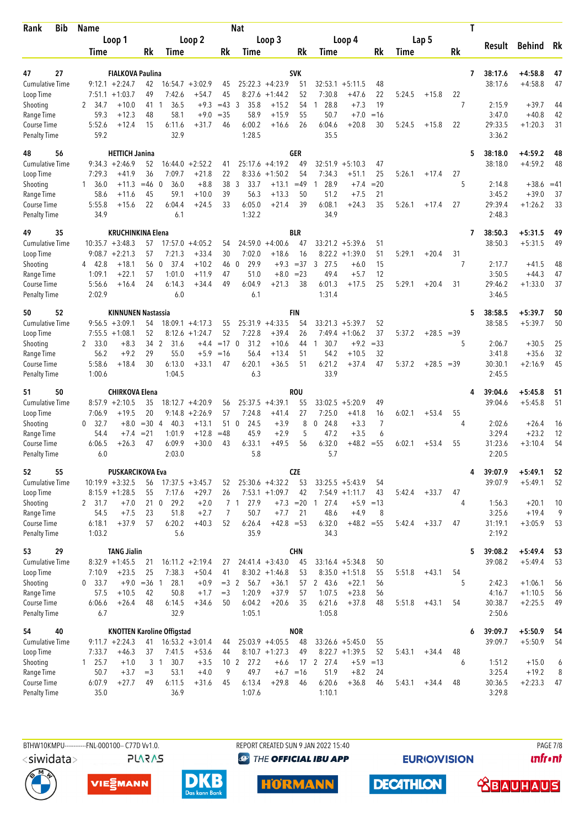| Bib<br>Rank                        | Name                   |                                              |               |                                   |                    |            | <b>Nat</b>                     |                    |                  |                            |                    |                |        |              |       | T                       |                        |             |
|------------------------------------|------------------------|----------------------------------------------|---------------|-----------------------------------|--------------------|------------|--------------------------------|--------------------|------------------|----------------------------|--------------------|----------------|--------|--------------|-------|-------------------------|------------------------|-------------|
|                                    |                        | Loop 1                                       |               |                                   | Loop 2             |            |                                | Loop 3             |                  |                            | Loop 4             |                |        | Lap 5        |       |                         |                        | Rk          |
|                                    | Time                   |                                              | Rk            | Time                              |                    | Rk         | Time                           |                    | Rk               | Time                       |                    | Rk             | Time   |              | Rk    | Result                  | <b>Behind</b>          |             |
| 47                                 |                        |                                              |               |                                   |                    |            |                                |                    | <b>SVK</b>       |                            |                    |                |        |              |       |                         |                        |             |
| 27<br><b>Cumulative Time</b>       |                        | <b>FIALKOVA Paulina</b><br>$9:12.1 + 2:24.7$ | 42            |                                   | $16:54.7 + 3:02.9$ | 45         |                                | $25:22.3 +4:23.9$  | 51               |                            | $32:53.1 + 5:11.5$ | 48             |        |              |       | 38:17.6<br>7<br>38:17.6 | $+4:58.8$<br>$+4:58.8$ | 47<br>47    |
| Loop Time                          | 7:51.1                 | $+1:03.7$                                    | 49            | 7:42.6                            | $+54.7$            | 45         | 8:27.6                         | $+1:44.2$          | 52               | 7:30.8                     | $+47.6$            | 22             | 5:24.5 | $+15.8$      | 22    |                         |                        |             |
| Shooting                           | 2 34.7                 | $+10.0$                                      | 41            | 36.5<br>1                         | $+9.3$             | $=43$      | 3<br>35.8                      | $+15.2$            | 54               | 28.8<br>1                  | $+7.3$             | 19             |        |              | 7     | 2:15.9                  | $+39.7$                | 44          |
| Range Time                         | 59.3                   | $+12.3$                                      | 48            | 58.1                              | $+9.0$             | $= 35$     | 58.9                           | $+15.9$            | 55               | 50.7                       | $+7.0$             | $=16$          |        |              |       | 3:47.0                  | $+40.8$                | 42          |
| Course Time                        | 5:52.6                 | $+12.4$                                      | 15            | 6:11.6                            | $+31.7$            | 46         | 6:00.2                         | $+16.6$            | 26               | 6:04.6                     | $+20.8$            | 30             | 5:24.5 | $+15.8$      | 22    | 29:33.5                 | $+1:20.3$              | 31          |
| <b>Penalty Time</b>                | 59.2                   |                                              |               | 32.9                              |                    |            | 1:28.5                         |                    |                  | 35.5                       |                    |                |        |              |       | 3:36.2                  |                        |             |
| 56<br>48                           |                        | <b>HETTICH Janina</b>                        |               |                                   |                    |            |                                |                    | <b>GER</b>       |                            |                    |                |        |              |       | 38:18.0<br>5            | $+4:59.2$              | 48          |
| <b>Cumulative Time</b>             |                        | $9:34.3 +2:46.9$                             | 52            | 16:44.0                           | $+2:52.2$          | 41         |                                | $25:17.6 +4:19.2$  | 49               | 32:51.9                    | $+5:10.3$          | 47             |        |              |       | 38:18.0                 | $+4:59.2$              | 48          |
| Loop Time                          | 7:29.3                 | $+41.9$                                      | 36            | 7:09.7                            | $+21.8$            | 22         | 8:33.6                         | $+1:50.2$          | 54               | 7:34.3                     | $+51.1$            | 25             | 5:26.1 | $+17.4$      | 27    |                         |                        |             |
| Shooting<br>Range Time             | $1 \quad 36.0$<br>58.6 | $+11.3$<br>$+11.6$                           | $=46$<br>45   | $\Omega$<br>36.0<br>59.1          | $+8.8$<br>$+10.0$  | 38<br>39   | 3<br>33.7<br>56.3              | $+13.1$<br>$+13.3$ | $=49$<br>50      | 28.9<br>1<br>51.2          | $+7.4$<br>$+7.5$   | $= 20$<br>21   |        |              | 5     | 2:14.8<br>3:45.2        | $+38.6$<br>$+39.0$     | $=41$<br>37 |
| Course Time                        | 5:55.8                 | $+15.6$                                      | 22            | 6:04.4                            | $+24.5$            | 33         | 6:05.0                         | $+21.4$            | 39               | 6:08.1                     | $+24.3$            | 35             | 5:26.1 | $+17.4$      | 27    | 29:39.4                 | $+1:26.2$              | 33          |
| <b>Penalty Time</b>                | 34.9                   |                                              |               | 6.1                               |                    |            | 1:32.2                         |                    |                  | 34.9                       |                    |                |        |              |       | 2:48.3                  |                        |             |
| 49<br>35                           |                        | <b>KRUCHINKINA Elena</b>                     |               |                                   |                    |            |                                |                    | <b>BLR</b>       |                            |                    |                |        |              |       | 38:50.3<br>7            | $+5:31.5$              | 49          |
| <b>Cumulative Time</b>             |                        | $10:35.7 + 3:48.3$                           | 57            | 17:57.0                           | $+4:05.2$          | 54         | 24:59.0                        | $+4:00.6$          | 47               |                            | $33:21.2 + 5:39.6$ | 51             |        |              |       | 38:50.3                 | $+5:31.5$              | 49          |
| Loop Time                          |                        | $9:08.7 +2:21.3$                             | 57            | 7:21.3                            | $+33.4$            | 30         | 7:02.0                         | $+18.6$            | 16               |                            | $8:22.2 +1:39.0$   | 51             | 5:29.1 | $+20.4$      | 31    |                         |                        |             |
| Shooting                           | 4 42.8                 | $+18.1$                                      | 56            | $\overline{0}$<br>37.4            | $+10.2$            | 46         | 29.9<br>$\mathbf 0$            | $+9.3$             | $=37$            | 27.5<br>3                  | $+6.0$             | 15             |        |              | 7     | 2:17.7                  | $+41.5$                | 48          |
| Range Time                         | 1:09.1<br>5:56.6       | $+22.1$<br>$+16.4$                           | 57<br>24      | 1:01.0<br>6:14.3                  | $+11.9$<br>$+34.4$ | 47<br>49   | 51.0<br>6:04.9                 | $+8.0$<br>$+21.3$  | $= 23$<br>38     | 49.4<br>6:01.3             | $+5.7$<br>$+17.5$  | 12<br>25       | 5:29.1 | $+20.4$      | 31    | 3:50.5<br>29:46.2       | $+44.3$<br>$+1:33.0$   | 47<br>37    |
| Course Time<br><b>Penalty Time</b> | 2:02.9                 |                                              |               | 6.0                               |                    |            | 6.1                            |                    |                  | 1:31.4                     |                    |                |        |              |       | 3:46.5                  |                        |             |
| 52<br>50                           |                        | <b>KINNUNEN Nastassia</b>                    |               |                                   |                    |            |                                |                    | FIN              |                            |                    |                |        |              |       | 38:58.5<br>5            | $+5:39.7$              | 50          |
| <b>Cumulative Time</b>             |                        | $9:56.5 + 3:09.1$                            | 54            |                                   | $18:09.1 + 4:17.3$ | 55         |                                | $25:31.9 +4:33.5$  | 54               |                            | $33:21.3 + 5:39.7$ | 52             |        |              |       | 38:58.5                 | $+5:39.7$              | 50          |
| Loop Time                          |                        | $7:55.5 + 1:08.1$                            | 52            |                                   | $8:12.6 + 1:24.7$  | 52         | 7:22.8                         | $+39.4$            | 26               | 7:49.4                     | $+1:06.2$          | 37             | 5:37.2 | $+28.5 = 39$ |       |                         |                        |             |
| Shooting                           | 2 33.0                 | $+8.3$                                       | 34 2          | 31.6                              | $+4.4$             | $=17$ 0    | 31.2                           | $+10.6$            | 44               | 30.7<br>$\overline{1}$     | $+9.2$             | $= 33$         |        |              | 5     | 2:06.7                  | $+30.5$                | 25          |
| Range Time                         | 56.2                   | $+9.2$                                       | 29            | 55.0                              | $+5.9$             | $=16$      | 56.4                           | $+13.4$            | 51               | 54.2                       | $+10.5$            | 32             |        |              |       | 3:41.8                  | $+35.6$                | 32          |
| Course Time<br><b>Penalty Time</b> | 5:58.6<br>1:00.6       | $+18.4$                                      | 30            | 6:13.0<br>1:04.5                  | $+33.1$            | 47         | 6:20.1<br>6.3                  | $+36.5$            | 51               | 6:21.2<br>33.9             | $+37.4$            | 47             | 5:37.2 | $+28.5$      | $=39$ | 30:30.1<br>2:45.5       | $+2:16.9$              | 45          |
|                                    |                        |                                              |               |                                   |                    |            |                                |                    |                  |                            |                    |                |        |              |       |                         |                        |             |
| 50<br>51<br><b>Cumulative Time</b> |                        | <b>CHIRKOVA Elena</b><br>$8:57.9 +2:10.5$    | 35            |                                   | $18:12.7 + 4:20.9$ |            |                                | $25:37.5 +4:39.1$  | <b>ROU</b><br>55 | 33:02.5                    | $+5:20.9$          | 49             |        |              |       | 39:04.6<br>4<br>39:04.6 | $+5:45.8$<br>$+5:45.8$ | 51<br>51    |
| Loop Time                          | 7:06.9                 | $+19.5$                                      | 20            |                                   | $9:14.8 + 2:26.9$  | 56<br>57   | 7:24.8                         | $+41.4$            | 27               | 7:25.0                     | $+41.8$            | 16             | 6:02.1 | $+53.4$      | 55    |                         |                        |             |
| Shooting                           | 32.7<br>0              | $+8.0$                                       | $=30$         | 40.3<br>$\overline{4}$            | $+13.1$            | 510        | 24.5                           | $+3.9$             | 8                | 24.8<br>0                  | $+3.3$             | $\overline{7}$ |        |              | 4     | 2:02.6                  | $+26.4$                | 16          |
| Range Time                         | 54.4                   | $+7.4$                                       | $= 21$        | 1:01.9                            | $+12.8$            | $=48$      | 45.9                           | $+2.9$             | 5                | 47.2                       | $+3.5$             | 6              |        |              |       | 3:29.4                  | $+23.2$                | 12          |
| Course Time                        | 6:06.5                 | $+26.3$                                      | 47            | 6:09.9                            | $+30.0$            | 43         | 6:33.1                         | $+49.5$            | 56               | 6:32.0                     | $+48.2$            | $= 55$         | 6:02.1 | $+53.4$      | 55    | 31:23.6                 | $+3:10.4$              | 54          |
| <b>Penalty Time</b>                | 6.0                    |                                              |               | 2:03.0                            |                    |            | 5.8                            |                    |                  | 5.7                        |                    |                |        |              |       | 2:20.5                  |                        |             |
| 52<br>55                           |                        | <b>PUSKARCIKOVA Eva</b>                      |               |                                   |                    |            |                                |                    | <b>CZE</b>       |                            |                    |                |        |              |       | 39:07.9<br>4            | $+5:49.1$              | 52          |
| <b>Cumulative Time</b>             |                        | $10:19.9 + 3:32.5$                           | 56            |                                   | $17:37.5 + 3:45.7$ | 52         |                                | $25:30.6 +4:32.2$  | 53               |                            | $33:25.5 + 5:43.9$ | 54             |        |              |       | 39:07.9                 | $+5:49.1$              | 52          |
| Loop Time                          |                        | $8:15.9 + 1:28.5$                            | 55            | 7:17.6                            | $+29.7$            | 26         |                                | $7:53.1 + 1:09.7$  | 42               |                            | $7:54.9 +1:11.7$   | 43             | 5:42.4 | $+33.7$      | 47    |                         |                        |             |
| Shooting<br>Range Time             | 2 31.7<br>54.5         | $+7.0$<br>$+7.5$                             | 21 0<br>23    | 29.2<br>51.8                      | $+2.0$<br>$+2.7$   | 7          | 7 <sub>1</sub><br>27.9<br>50.7 | $+7.7$             | 21               | $+7.3 = 20 1 27.4$<br>48.6 | $+5.9$<br>$+4.9$   | $=13$<br>8     |        |              | 4     | 1:56.3<br>3:25.6        | $+20.1$<br>$+19.4$     | 10<br>9     |
| Course Time                        | 6:18.1                 | $+37.9$                                      | 57            | 6:20.2                            | $+40.3$            | 52         | 6:26.4                         | $+42.8 = 53$       |                  | 6:32.0                     | $+48.2 = 55$       |                | 5:42.4 | $+33.7$      | 47    | 31:19.1                 | $+3:05.9$              | 53          |
| Penalty Time                       | 1:03.2                 |                                              |               | 5.6                               |                    |            | 35.9                           |                    |                  | 34.3                       |                    |                |        |              |       | 2:19.2                  |                        |             |
| 29<br>53                           |                        | <b>TANG Jialin</b>                           |               |                                   |                    |            |                                |                    | <b>CHN</b>       |                            |                    |                |        |              |       | 5<br>39:08.2            | $+5:49.4$              | 53          |
| <b>Cumulative Time</b>             |                        | $8:32.9 +1:45.5$                             | 21            |                                   | $16:11.2 + 2:19.4$ | 27         |                                | $24:41.4 + 3:43.0$ | 45               |                            | $33:16.4 + 5:34.8$ | 50             |        |              |       | 39:08.2                 | $+5:49.4$              | 53          |
| Loop Time                          | 7:10.9                 | $+23.5$                                      | 25            | 7:38.3                            | $+50.4$            | 41         |                                | $8:30.2 +1:46.8$   | 53               |                            | $8:35.0 +1:51.8$   | 55             | 5:51.8 | $+43.1$      | 54    |                         |                        |             |
| Shooting                           | 0, 33.7                |                                              | $+9.0 = 36$ 1 | 28.1                              | $+0.9$             | $=3$ 2     | 56.7                           | $+36.1$            | 57               | 2 43.6                     | $+22.1$            | 56             |        |              | 5     | 2:42.3                  | $+1:06.1$              | 56          |
| Range Time<br>Course Time          | 57.5<br>6:06.6         | $+10.5$<br>$+26.4$                           | 42<br>48      | 50.8<br>6:14.5                    | $+1.7$<br>$+34.6$  | $=3$<br>50 | 1:20.9<br>6:04.2               | $+37.9$<br>$+20.6$ | 57<br>35         | 1:07.5<br>6:21.6           | $+23.8$<br>$+37.8$ | 56<br>48       | 5:51.8 | $+43.1$      | 54    | 4:16.7<br>30:38.7       | $+1:10.5$<br>$+2:25.5$ | 56<br>49    |
| <b>Penalty Time</b>                | 6.7                    |                                              |               | 32.9                              |                    |            | 1:05.1                         |                    |                  | 1:05.8                     |                    |                |        |              |       | 2:50.6                  |                        |             |
| 40<br>54                           |                        |                                              |               | <b>KNOTTEN Karoline Offigstad</b> |                    |            |                                |                    | <b>NOR</b>       |                            |                    |                |        |              |       | 39:09.7<br>6            | $+5:50.9$              | 54          |
| <b>Cumulative Time</b>             |                        | $9:11.7 + 2:24.3$                            | 41            |                                   | $16:53.2 + 3:01.4$ | 44         |                                | $25:03.9 +4:05.5$  | 48               |                            | $33:26.6 + 5:45.0$ | 55             |        |              |       | 39:09.7                 | $+5:50.9$              | 54          |
| Loop Time                          | 7:33.7                 | $+46.3$                                      | 37            | 7:41.5                            | $+53.6$            | 44         |                                | $8:10.7 + 1:27.3$  | 49               |                            | $8:22.7 +1:39.5$   | 52             | 5:43.1 | $+34.4$      | 48    |                         |                        |             |
| Shooting                           | 125.7                  | $+1.0$                                       |               | 3 <sub>1</sub><br>30.7            | $+3.5$             |            | 27.2<br>10 2                   | $+6.6$             |                  | 17 2 27.4                  | $+5.9$             | $=13$          |        |              | 6     | 1:51.2                  | $+15.0$                | 6           |
| Range Time                         | 50.7                   | $+3.7$                                       | $=$ 3         | 53.1                              | $+4.0$             | 9          | 49.7                           |                    | $+6.7 = 16$      | 51.9                       | $+8.2$             | 24             |        |              |       | 3:25.4                  | $+19.2$                | 8           |
| Course Time<br>Penalty Time        | 6:07.9<br>35.0         | $+27.7$                                      | 49            | 6:11.5<br>36.9                    | $+31.6$            | 45         | 6:13.4<br>1:07.6               | $+29.8$            | 46               | 6:20.6<br>1:10.1           | $+36.8$            | 46             | 5:43.1 | $+34.4$      | 48    | 30:36.5<br>3:29.8       | $+2:23.3$              | 47          |
|                                    |                        |                                              |               |                                   |                    |            |                                |                    |                  |                            |                    |                |        |              |       |                         |                        |             |

**PLARAS** 

BTHW10KMPU-----------FNL-000100-- C77D W1.0. REPORT CREATED SUN 9 JAN 2022 15:40 PAGE 7/8 **<sup><sup>3</sup>** THE OFFICIAL IBU APP</sup>

**EURIOVISION**